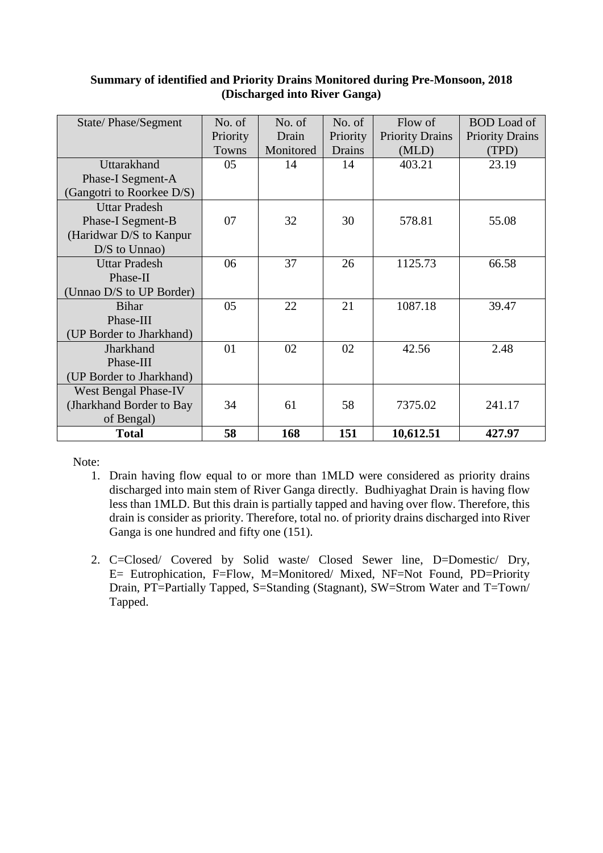| State/Phase/Segment         | No. of<br>Priority<br>Towns | No. of<br>Drain<br>Monitored | No. of<br>Priority<br>Drains | Flow of<br><b>Priority Drains</b><br>(MLD) | <b>BOD</b> Load of<br><b>Priority Drains</b><br>(TPD) |
|-----------------------------|-----------------------------|------------------------------|------------------------------|--------------------------------------------|-------------------------------------------------------|
| Uttarakhand                 | 05                          | 14                           | 14                           | 403.21                                     | 23.19                                                 |
| Phase-I Segment-A           |                             |                              |                              |                                            |                                                       |
| (Gangotri to Roorkee D/S)   |                             |                              |                              |                                            |                                                       |
| <b>Uttar Pradesh</b>        |                             |                              |                              |                                            |                                                       |
| Phase-I Segment-B           | 07                          | 32                           | 30                           | 578.81                                     | 55.08                                                 |
| (Haridwar D/S to Kanpur     |                             |                              |                              |                                            |                                                       |
| $D/S$ to Unnao)             |                             |                              |                              |                                            |                                                       |
| <b>Uttar Pradesh</b>        | 06                          | 37                           | 26                           | 1125.73                                    | 66.58                                                 |
| Phase-II                    |                             |                              |                              |                                            |                                                       |
| (Unnao D/S to UP Border)    |                             |                              |                              |                                            |                                                       |
| <b>Bihar</b>                | 05                          | 22                           | 21                           | 1087.18                                    | 39.47                                                 |
| Phase-III                   |                             |                              |                              |                                            |                                                       |
| (UP Border to Jharkhand)    |                             |                              |                              |                                            |                                                       |
| Jharkhand                   | 01                          | 02                           | 02                           | 42.56                                      | 2.48                                                  |
| Phase-III                   |                             |                              |                              |                                            |                                                       |
| (UP Border to Jharkhand)    |                             |                              |                              |                                            |                                                       |
| <b>West Bengal Phase-IV</b> |                             |                              |                              |                                            |                                                       |
| (Jharkhand Border to Bay    | 34                          | 61                           | 58                           | 7375.02                                    | 241.17                                                |
| of Bengal)                  |                             |                              |                              |                                            |                                                       |
| <b>Total</b>                | 58                          | 168                          | 151                          | 10,612.51                                  | 427.97                                                |

#### **Summary of identified and Priority Drains Monitored during Pre-Monsoon, 2018 (Discharged into River Ganga)**

Note:

- 1. Drain having flow equal to or more than 1MLD were considered as priority drains discharged into main stem of River Ganga directly. Budhiyaghat Drain is having flow less than 1MLD. But this drain is partially tapped and having over flow. Therefore, this drain is consider as priority. Therefore, total no. of priority drains discharged into River Ganga is one hundred and fifty one (151).
- 2. C=Closed/ Covered by Solid waste/ Closed Sewer line, D=Domestic/ Dry, E= Eutrophication, F=Flow, M=Monitored/ Mixed, NF=Not Found, PD=Priority Drain, PT=Partially Tapped, S=Standing (Stagnant), SW=Strom Water and T=Town/ Tapped.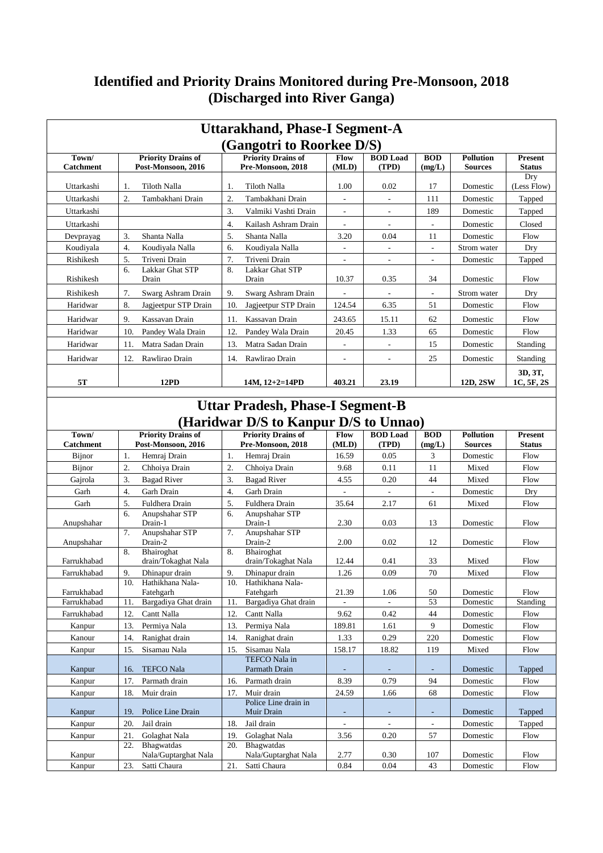## **Identified and Priority Drains Monitored during Pre-Monsoon, 2018 (Discharged into River Ganga)**

|                                                                                  | <b>Uttarakhand, Phase-I Segment-A</b>           |                                                 |                          |                          |                          |                                    |                                 |  |  |  |  |  |  |
|----------------------------------------------------------------------------------|-------------------------------------------------|-------------------------------------------------|--------------------------|--------------------------|--------------------------|------------------------------------|---------------------------------|--|--|--|--|--|--|
|                                                                                  |                                                 | (Gangotri to Roorkee D/S)                       |                          |                          |                          |                                    |                                 |  |  |  |  |  |  |
| Town/<br><b>Catchment</b>                                                        | <b>Priority Drains of</b><br>Post-Monsoon, 2016 | <b>Priority Drains of</b><br>Pre-Monsoon, 2018  | Flow<br>(MLD)            | <b>BOD</b> Load<br>(TPD) | <b>BOD</b><br>(mg/L)     | <b>Pollution</b><br><b>Sources</b> | <b>Present</b><br><b>Status</b> |  |  |  |  |  |  |
| Uttarkashi                                                                       | Tiloth Nalla<br>1.                              | Tiloth Nalla<br>1.                              | 1.00                     | 0.02                     | 17                       | Domestic                           | Dry<br>(Less Flow)              |  |  |  |  |  |  |
| Uttarkashi                                                                       | 2.<br>Tambakhani Drain                          | 2.<br>Tambakhani Drain                          |                          |                          | 111                      | Domestic                           | Tapped                          |  |  |  |  |  |  |
| Uttarkashi                                                                       |                                                 | 3.<br>Valmiki Vashti Drain                      | $\overline{\phantom{a}}$ | $\overline{\phantom{a}}$ | 189                      | Domestic                           | Tapped                          |  |  |  |  |  |  |
| Uttarkashi                                                                       |                                                 | $\overline{4}$ .<br>Kailash Ashram Drain        | $\overline{\phantom{a}}$ | $\overline{\phantom{a}}$ | $\overline{\phantom{a}}$ | Domestic                           | Closed                          |  |  |  |  |  |  |
| Devprayag                                                                        | 3.<br>Shanta Nalla                              | 5.<br>Shanta Nalla                              | 3.20                     | 0.04                     | 11                       | Domestic                           | Flow                            |  |  |  |  |  |  |
| Koudiyala                                                                        | 4.<br>Koudiyala Nalla                           | Koudivala Nalla<br>6.                           | $\overline{\phantom{a}}$ | $\overline{\phantom{a}}$ | $\overline{\phantom{a}}$ | Strom water                        | Dry                             |  |  |  |  |  |  |
| Rishikesh                                                                        | 5.<br>Triveni Drain                             | 7.<br>Triveni Drain                             | $\overline{\phantom{a}}$ | $\overline{\phantom{a}}$ | $\overline{\phantom{a}}$ | Domestic                           | Tapped                          |  |  |  |  |  |  |
| Rishikesh                                                                        | Lakkar Ghat STP<br>6.<br>Drain                  | 8.<br>Lakkar Ghat STP<br>Drain                  | 10.37                    | 0.35                     | 34                       | Domestic                           | Flow                            |  |  |  |  |  |  |
| Rishikesh                                                                        | 7.<br>Swarg Ashram Drain                        | 9.<br>Swarg Ashram Drain                        |                          |                          | $\overline{a}$           | Strom water                        | Dry                             |  |  |  |  |  |  |
| Haridwar                                                                         | 8.<br>Jagjeetpur STP Drain                      | 10.<br>Jagjeetpur STP Drain                     | 124.54                   | 6.35                     | 51                       | Domestic                           | Flow                            |  |  |  |  |  |  |
| Haridwar                                                                         | 9.<br>Kassavan Drain                            | Kassavan Drain<br>11.                           | 243.65                   | 15.11                    | 62                       | Domestic                           | Flow                            |  |  |  |  |  |  |
| Haridwar                                                                         | 10.<br>Pandey Wala Drain                        | 12.<br>Pandey Wala Drain                        | 20.45                    | 1.33                     | 65                       | Domestic                           | Flow                            |  |  |  |  |  |  |
| Haridwar                                                                         | 11.<br>Matra Sadan Drain                        | 13.<br>Matra Sadan Drain                        | $\overline{\phantom{a}}$ | $\overline{\phantom{a}}$ | 15                       | Domestic                           | Standing                        |  |  |  |  |  |  |
| Haridwar                                                                         | 12.<br>Rawlirao Drain                           | 14.<br>Rawlirao Drain                           | $\overline{\phantom{a}}$ | $\overline{\phantom{a}}$ | 25                       | Domestic                           | Standing                        |  |  |  |  |  |  |
| 5Τ                                                                               | <b>12PD</b>                                     | $14M, 12+2=14PD$                                | 403.21                   | 23.19                    |                          | 12D, 2SW                           | 3D, 3T,<br>1C, 5F, 2S           |  |  |  |  |  |  |
|                                                                                  |                                                 |                                                 |                          |                          |                          |                                    |                                 |  |  |  |  |  |  |
| <b>Uttar Pradesh, Phase-I Segment-B</b><br>(Haridwar D/S to Kanpur D/S to Unnao) |                                                 |                                                 |                          |                          |                          |                                    |                                 |  |  |  |  |  |  |
| Town/<br><b>Catchment</b>                                                        | <b>Priority Drains of</b><br>Post-Monsoon, 2016 | <b>Priority Drains of</b><br>Pre-Monsoon, 2018  | Flow<br>(MLD)            | <b>BOD</b> Load<br>(TPD) | <b>BOD</b><br>(mg/L)     | <b>Pollution</b><br><b>Sources</b> | <b>Present</b><br><b>Status</b> |  |  |  |  |  |  |
| Bijnor                                                                           | 1.<br>Hemraj Drain                              | 1.<br>Hemraj Drain                              | 16.59                    | 0.05                     | 3                        | Domestic                           | Flow                            |  |  |  |  |  |  |
| Bijnor                                                                           | 2.<br>Chhoiya Drain                             | 2.<br>Chhoiya Drain                             | 9.68                     | 0.11                     | 11                       | Mixed                              | Flow                            |  |  |  |  |  |  |
| Gajrola                                                                          | 3.<br><b>Bagad River</b>                        | 3.<br><b>Bagad River</b>                        | 4.55                     | 0.20                     | 44                       | Mixed                              | Flow                            |  |  |  |  |  |  |
| Garh                                                                             | 4.<br>Garh Drain                                | $\overline{4}$ .<br>Garh Drain                  |                          | $\overline{\phantom{a}}$ | $\overline{\phantom{a}}$ | Domestic                           | Dry                             |  |  |  |  |  |  |
| Garh                                                                             | 5.<br>Fuldhera Drain                            | 5.<br>Fuldhera Drain                            | 35.64                    | 2.17                     | 61                       | Mixed                              | Flow                            |  |  |  |  |  |  |
| Anupshahar                                                                       | Anupshahar STP<br>6.<br>Drain-1                 | Anupshahar STP<br>6.<br>Drain-1                 | 2.30                     | 0.03                     | 13                       | Domestic                           | Flow                            |  |  |  |  |  |  |
| Anupshahar                                                                       | Anupshahar STP<br>7.<br>Drain-2                 | Anupshahar STP<br>7.<br>Drain-2                 | 2.00                     | 0.02                     | 12                       | Domestic                           | Flow                            |  |  |  |  |  |  |
|                                                                                  | 8.<br>Bhairoghat                                | 8.<br>Bhairoghat                                |                          |                          |                          |                                    |                                 |  |  |  |  |  |  |
| Farrukhabad                                                                      | drain/Tokaghat Nala                             | drain/Tokaghat Nala                             | 12.44                    | 0.41                     | 33                       | Mixed                              | Flow                            |  |  |  |  |  |  |
| Farrukhabad                                                                      | 9.<br>Dhinapur drain<br>Hathikhana Nala-<br>10. | 9.<br>Dhinapur drain<br>Hathikhana Nala-<br>10. | 1.26                     | 0.09                     | $70\,$                   | Mixed                              | Flow                            |  |  |  |  |  |  |
| Farrukhabad                                                                      | Fatehgarh                                       | Fatehgarh                                       | 21.39                    | 1.06                     | 50                       | Domestic                           | Flow                            |  |  |  |  |  |  |
| Farrukhabad                                                                      | Bargadiya Ghat drain<br>11.                     | 11.<br>Bargadiya Ghat drain                     |                          |                          | 53                       | Domestic                           | Standing                        |  |  |  |  |  |  |
| Farrukhabad                                                                      | Cantt Nalla<br>12.                              | 12.<br>Cantt Nalla                              | 9.62                     | 0.42                     | 44                       | Domestic                           | Flow                            |  |  |  |  |  |  |
| Kanpur                                                                           | 13.<br>Permiya Nala                             | 13.<br>Permiya Nala                             | 189.81                   | 1.61                     | 9                        | Domestic                           | Flow                            |  |  |  |  |  |  |
| Kanour                                                                           | 14.<br>Ranighat drain                           | Ranighat drain<br>14.                           | 1.33                     | 0.29                     | 220                      | Domestic                           | Flow                            |  |  |  |  |  |  |
| Kanpur                                                                           | Sisamau Nala<br>15.                             | Sisamau Nala<br>15.<br>TEFCO Nala in            | 158.17                   | 18.82                    | 119                      | Mixed                              | Flow                            |  |  |  |  |  |  |
| Kanpur                                                                           | <b>TEFCO Nala</b><br>16.                        | Parmath Drain                                   |                          |                          |                          | Domestic                           | Tapped                          |  |  |  |  |  |  |
| Kanpur                                                                           | 17.<br>Parmath drain                            | 16.<br>Parmath drain                            | 8.39                     | 0.79                     | 94                       | Domestic                           | Flow                            |  |  |  |  |  |  |
| Kanpur                                                                           | Muir drain<br>18.                               | Muir drain<br>17.                               | 24.59                    | 1.66                     | 68                       | Domestic                           | Flow                            |  |  |  |  |  |  |
| Kanpur                                                                           | Police Line Drain<br>19.                        | Police Line drain in<br>Muir Drain              | ٠                        |                          | ٠                        | Domestic                           | Tapped                          |  |  |  |  |  |  |
| Kanpur                                                                           | 20.<br>Jail drain                               | 18.<br>Jail drain                               |                          |                          |                          | Domestic                           | Tapped                          |  |  |  |  |  |  |
| Kanpur                                                                           | 21.<br>Golaghat Nala<br>Bhagwatdas<br>22.       | Golaghat Nala<br>19.<br>Bhagwatdas<br>20.       | 3.56                     | 0.20                     | 57                       | Domestic                           | Flow                            |  |  |  |  |  |  |
| Kanpur                                                                           | Nala/Guptarghat Nala                            | Nala/Guptarghat Nala                            | 2.77                     | 0.30                     | 107                      | Domestic                           | Flow                            |  |  |  |  |  |  |
| Kanpur                                                                           | 23.<br>Satti Chaura                             | 21.<br>Satti Chaura                             | 0.84                     | 0.04                     | 43                       | Domestic                           | Flow                            |  |  |  |  |  |  |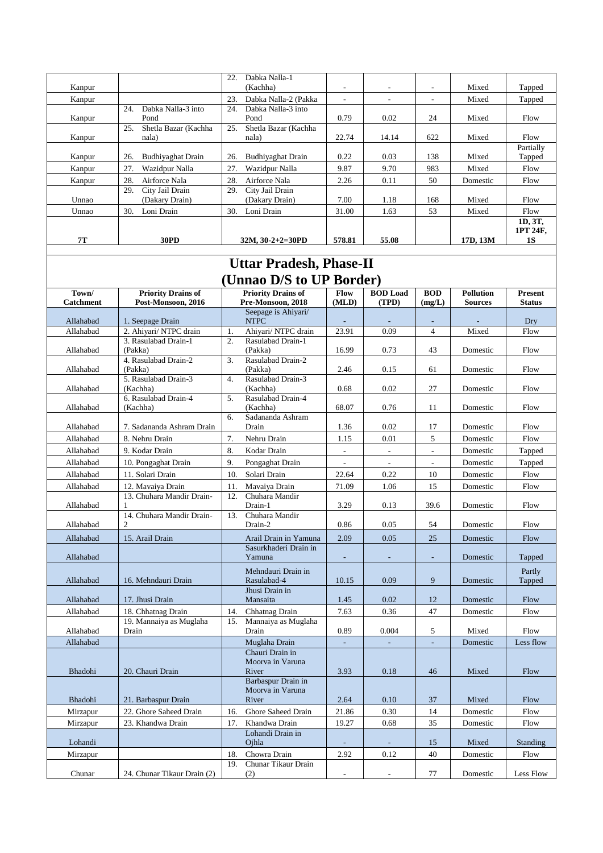| Kanpur    |                                          | 22.<br>Dabka Nalla-1<br>(Kachha)         |                          | $\overline{\phantom{a}}$ | ۰   | Mixed    | Tapped                    |
|-----------|------------------------------------------|------------------------------------------|--------------------------|--------------------------|-----|----------|---------------------------|
| Kanpur    |                                          | 23.<br>Dabka Nalla-2 (Pakka              | $\overline{\phantom{a}}$ | ٠                        | ۰   | Mixed    | Tapped                    |
| Kanpur    | Dabka Nalla-3 into<br>24.<br>Pond        | Dabka Nalla-3 into<br>24.<br>Pond        | 0.79                     | 0.02                     | 24  | Mixed    | Flow                      |
| Kanpur    | Shetla Bazar (Kachha<br>25.<br>nala)     | Shetla Bazar (Kachha<br>25.<br>nala)     | 22.74                    | 14.14                    | 622 | Mixed    | Flow                      |
| Kanpur    | 26.<br>Budhiyaghat Drain                 | 26.<br><b>Budhiyaghat Drain</b>          | 0.22                     | 0.03                     | 138 | Mixed    | Partially<br>Tapped       |
| Kanpur    | 27.<br>Wazidpur Nalla                    | 27.<br>Wazidpur Nalla                    | 9.87                     | 9.70                     | 983 | Mixed    | Flow                      |
| Kanpur    | 28.<br>Airforce Nala                     | 28.<br>Airforce Nala                     | 2.26                     | 0.11                     | 50  | Domestic | Flow                      |
| Unnao     | 29.<br>City Jail Drain<br>(Dakary Drain) | 29.<br>City Jail Drain<br>(Dakary Drain) | 7.00                     | 1.18                     | 168 | Mixed    | Flow                      |
| Unnao     | Loni Drain<br>30.                        | Loni Drain<br>30.                        | 31.00                    | 1.63                     | 53  | Mixed    | Flow                      |
| <b>7T</b> | 30PD                                     | $32M, 30-2+2=30PD$                       | 578.81                   | 55.08                    |     | 17D, 13M | 1D, 3T,<br>1PT 24F.<br>1S |

### **Uttar Pradesh, Phase-II (Unnao D/S to UP Border)**

| $($ Umay $D \cup W$ U U Duruci |                                                 |                                                |                          |                          |                          |                                    |                          |  |  |  |
|--------------------------------|-------------------------------------------------|------------------------------------------------|--------------------------|--------------------------|--------------------------|------------------------------------|--------------------------|--|--|--|
| Town/<br><b>Catchment</b>      | <b>Priority Drains of</b><br>Post-Monsoon, 2016 | <b>Priority Drains of</b><br>Pre-Monsoon, 2018 | Flow<br>(MLD)            | <b>BOD</b> Load<br>(TPD) | <b>BOD</b><br>(mg/L)     | <b>Pollution</b><br><b>Sources</b> | Present<br><b>Status</b> |  |  |  |
| Allahabad                      | 1. Seepage Drain                                | Seepage is Ahiyari/<br><b>NTPC</b>             |                          |                          |                          |                                    | Dry                      |  |  |  |
| Allahabad                      | 2. Ahiyari/ NTPC drain                          | 1.<br>Ahiyari/ NTPC drain                      | 23.91                    | 0.09                     | $\overline{4}$           | Mixed                              | Flow                     |  |  |  |
|                                | 3. Rasulabad Drain-1                            | 2.<br>Rasulabad Drain-1                        |                          |                          |                          |                                    |                          |  |  |  |
| Allahabad                      | (Pakka)                                         | (Pakka)<br>3.                                  | 16.99                    | 0.73                     | 43                       | Domestic                           | Flow                     |  |  |  |
| Allahabad                      | 4. Rasulabad Drain-2<br>(Pakka)                 | Rasulabad Drain-2<br>(Pakka)                   | 2.46                     | 0.15                     | 61                       | Domestic                           | Flow                     |  |  |  |
|                                | 5. Rasulabad Drain-3                            | Rasulabad Drain-3<br>4.                        |                          |                          |                          |                                    |                          |  |  |  |
| Allahabad                      | (Kachha)                                        | (Kachha)                                       | 0.68                     | 0.02                     | 27                       | Domestic                           | Flow                     |  |  |  |
|                                | 6. Rasulabad Drain-4                            | 5.<br>Rasulabad Drain-4                        |                          |                          |                          |                                    |                          |  |  |  |
| Allahabad                      | (Kachha)                                        | (Kachha)                                       | 68.07                    | 0.76                     | 11                       | Domestic                           | Flow                     |  |  |  |
|                                |                                                 | 6.<br>Sadananda Ashram                         |                          |                          |                          |                                    |                          |  |  |  |
| Allahabad                      | 7. Sadananda Ashram Drain                       | Drain                                          | 1.36                     | 0.02                     | 17                       | Domestic                           | Flow                     |  |  |  |
| Allahabad                      | 8. Nehru Drain                                  | 7.<br>Nehru Drain                              | 1.15                     | 0.01                     | 5                        | Domestic                           | Flow                     |  |  |  |
| Allahabad                      | 9. Kodar Drain                                  | 8.<br>Kodar Drain                              | $\overline{\phantom{a}}$ | $\overline{\phantom{a}}$ | $\overline{\phantom{a}}$ | Domestic                           | Tapped                   |  |  |  |
| Allahabad                      | 10. Pongaghat Drain                             | 9.<br>Pongaghat Drain                          |                          | $\mathcal{L}$            | $\overline{\phantom{a}}$ | Domestic                           | Tapped                   |  |  |  |
| Allahabad                      | 11. Solari Drain                                | 10.<br>Solari Drain                            | 22.64                    | 0.22                     | 10                       | Domestic                           | Flow                     |  |  |  |
| Allahabad                      | 12. Mavaiva Drain                               | 11.<br>Mavaiya Drain                           | 71.09                    | 1.06                     | 15                       | Domestic                           | Flow                     |  |  |  |
|                                | 13. Chuhara Mandir Drain-                       | 12.<br>Chuhara Mandir                          |                          |                          |                          |                                    |                          |  |  |  |
| Allahabad                      | 1                                               | Drain-1                                        | 3.29                     | 0.13                     | 39.6                     | Domestic                           | Flow                     |  |  |  |
|                                | 14. Chuhara Mandir Drain-                       | Chuhara Mandir<br>13.                          |                          |                          |                          |                                    |                          |  |  |  |
| Allahabad                      | $\overline{2}$                                  | Drain-2                                        | 0.86                     | 0.05                     | 54                       | Domestic                           | Flow                     |  |  |  |
| Allahabad                      | 15. Arail Drain                                 | Arail Drain in Yamuna                          | 2.09                     | 0.05                     | 25                       | Domestic                           | Flow                     |  |  |  |
| Allahabad                      |                                                 | Sasurkhaderi Drain in<br>Yamuna                | $\sim$                   | $\sim$                   | $\sim$                   | Domestic                           | Tapped                   |  |  |  |
|                                |                                                 |                                                |                          |                          |                          |                                    |                          |  |  |  |
| Allahabad                      |                                                 | Mehndauri Drain in<br>Rasulabad-4              | 10.15                    | 0.09                     | 9                        |                                    | Partly<br>Tapped         |  |  |  |
|                                | 16. Mehndauri Drain                             | Jhusi Drain in                                 |                          |                          |                          | Domestic                           |                          |  |  |  |
| Allahabad                      | 17. Jhusi Drain                                 | Mansaita                                       | 1.45                     | 0.02                     | 12                       | Domestic                           | Flow                     |  |  |  |
| Allahabad                      | 18. Chhatnag Drain                              | 14.<br>Chhatnag Drain                          | 7.63                     | 0.36                     | 47                       | Domestic                           | Flow                     |  |  |  |
|                                | 19. Mannaiya as Muglaha                         | Mannaiya as Muglaha<br>15.                     |                          |                          |                          |                                    |                          |  |  |  |
| Allahabad                      | Drain                                           | Drain                                          | 0.89                     | 0.004                    | 5                        | Mixed                              | Flow                     |  |  |  |
| Allahabad                      |                                                 | Muglaha Drain                                  |                          |                          | ä,                       | Domestic                           | Less flow                |  |  |  |
|                                |                                                 | Chauri Drain in                                |                          |                          |                          |                                    |                          |  |  |  |
|                                |                                                 | Moorva in Varuna                               |                          |                          |                          |                                    |                          |  |  |  |
| Bhadohi                        | 20. Chauri Drain                                | River                                          | 3.93                     | 0.18                     | 46                       | Mixed                              | Flow                     |  |  |  |
|                                |                                                 | Barbaspur Drain in<br>Moorva in Varuna         |                          |                          |                          |                                    |                          |  |  |  |
| Bhadohi                        | 21. Barbaspur Drain                             | River                                          | 2.64                     | 0.10                     | 37                       | Mixed                              | Flow                     |  |  |  |
| Mirzapur                       | 22. Ghore Saheed Drain                          | 16.<br>Ghore Saheed Drain                      | 21.86                    | 0.30                     | 14                       | Domestic                           | Flow                     |  |  |  |
| Mirzapur                       | 23. Khandwa Drain                               | Khandwa Drain<br>17.                           | 19.27                    | 0.68                     | 35                       | Domestic                           | Flow                     |  |  |  |
|                                |                                                 | Lohandi Drain in                               |                          |                          |                          |                                    |                          |  |  |  |
| Lohandi                        |                                                 | Ojhla                                          |                          |                          | 15                       | Mixed                              | Standing                 |  |  |  |
| Mirzapur                       |                                                 | Chowra Drain<br>18.                            | 2.92                     | 0.12                     | 40                       | Domestic                           | Flow                     |  |  |  |
|                                |                                                 | Chunar Tikaur Drain<br>19.                     |                          |                          |                          |                                    |                          |  |  |  |
| Chunar                         | 24. Chunar Tikaur Drain (2)                     | (2)                                            | $\overline{\phantom{a}}$ | $\overline{\phantom{a}}$ | 77                       | Domestic                           | Less Flow                |  |  |  |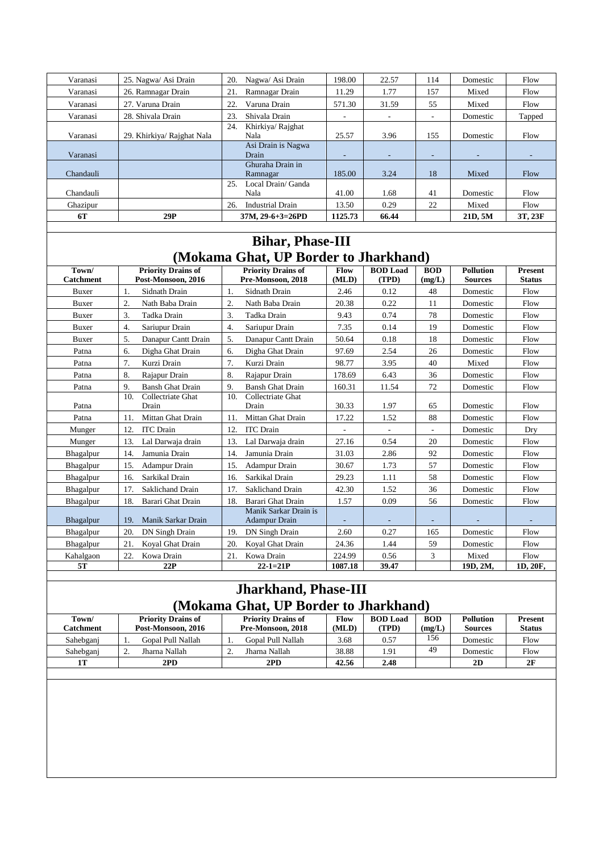| Varanasi  | 25. Nagwa/ Asi Drain       | Nagwa/ Asi Drain<br>20.          | 198.00                   | 22.57                    | 114                      | Domestic                 | Flow    |
|-----------|----------------------------|----------------------------------|--------------------------|--------------------------|--------------------------|--------------------------|---------|
| Varanasi  | 26. Ramnagar Drain         | Ramnagar Drain<br>21.            | 11.29                    | 1.77                     | 157                      | Mixed                    | Flow    |
| Varanasi  | 27. Varuna Drain           | 22.<br>Varuna Drain              | 571.30                   | 31.59                    | 55                       | Mixed                    | Flow    |
| Varanasi  | 28. Shivala Drain          | Shivala Drain<br>23.             |                          | ۰.                       | $\overline{\phantom{a}}$ | Domestic                 | Tapped  |
| Varanasi  | 29. Khirkiya/ Rajghat Nala | 24.<br>Khirkiya/ Rajghat<br>Nala | 25.57                    | 3.96                     | 155                      | Domestic                 | Flow    |
| Varanasi  |                            | Asi Drain is Nagwa<br>Drain      | $\overline{\phantom{a}}$ | $\overline{\phantom{a}}$ | $\overline{\phantom{0}}$ | $\overline{\phantom{a}}$ |         |
| Chandauli |                            | Ghuraha Drain in<br>Ramnagar     | 185.00                   | 3.24                     | 18                       | Mixed                    | Flow    |
| Chandauli |                            | Local Drain/ Ganda<br>25<br>Nala | 41.00                    | 1.68                     | 41                       | Domestic                 | Flow    |
| Ghazipur  |                            | <b>Industrial Drain</b><br>26.   | 13.50                    | 0.29                     | 22                       | Mixed                    | Flow    |
| 6T        | 29P                        | $37M, 29-6+3=26PD$               | 1125.73                  | 66.44                    |                          | 21D, 5M                  | 3T, 23F |

# **Bihar, Phase-III (Mokama Ghat, UP Border to Jharkhand)**

| Town/<br><b>Catchment</b> | <b>Priority Drains of</b><br>Post-Monsoon. 2016 | <b>Priority Drains of</b><br>Pre-Monsoon. 2018 | Flow<br>(MLD) | <b>BOD</b> Load<br>(TPD) | <b>BOD</b><br>(mg/L) | <b>Pollution</b><br><b>Sources</b> | <b>Present</b><br><b>Status</b> |
|---------------------------|-------------------------------------------------|------------------------------------------------|---------------|--------------------------|----------------------|------------------------------------|---------------------------------|
| <b>Buxer</b>              | Sidnath Drain<br>1.                             | Sidnath Drain<br>1.                            | 2.46          | 0.12                     | 48                   | Domestic                           | Flow                            |
| <b>Buxer</b>              | 2.<br>Nath Baba Drain                           | 2.<br>Nath Baba Drain                          | 20.38         | 0.22                     | 11                   | Domestic                           | Flow                            |
| <b>Buxer</b>              | 3.<br>Tadka Drain                               | 3.<br>Tadka Drain                              | 9.43          | 0.74                     | 78                   | Domestic                           | Flow                            |
| <b>Buxer</b>              | $\overline{4}$ .<br>Sariupur Drain              | 4.<br>Sariupur Drain                           | 7.35          | 0.14                     | 19                   | Domestic                           | Flow                            |
| <b>Buxer</b>              | 5.<br>Danapur Cantt Drain                       | 5.<br>Danapur Cantt Drain                      | 50.64         | 0.18                     | 18                   | Domestic                           | Flow                            |
| Patna                     | Digha Ghat Drain<br>6.                          | 6.<br>Digha Ghat Drain                         | 97.69         | 2.54                     | 26                   | Domestic                           | Flow                            |
| Patna                     | 7.<br>Kurzi Drain                               | 7.<br>Kurzi Drain                              | 98.77         | 3.95                     | 40                   | Mixed                              | Flow                            |
| Patna                     | 8.<br>Rajapur Drain                             | 8.<br>Rajapur Drain                            | 178.69        | 6.43                     | 36                   | Domestic                           | Flow                            |
| Patna                     | <b>Bansh Ghat Drain</b><br>9.                   | 9.<br><b>Bansh Ghat Drain</b>                  | 160.31        | 11.54                    | 72                   | Domestic                           | Flow                            |
| Patna                     | Collectriate Ghat<br>10.<br>Drain               | Collectriate Ghat<br>10.<br>Drain              | 30.33         | 1.97                     | 65                   | Domestic                           | Flow                            |
| Patna                     | Mittan Ghat Drain<br>11.                        | Mittan Ghat Drain<br>11.                       | 17.22         | 1.52                     | 88                   | Domestic                           | Flow                            |
| Munger                    | <b>ITC</b> Drain<br>12.                         | 12.<br><b>ITC</b> Drain                        |               | $\blacksquare$           | ÷,                   | Domestic                           | Drv                             |
| Munger                    | Lal Darwaja drain<br>13.                        | Lal Darwaja drain<br>13.                       | 27.16         | 0.54                     | 20                   | Domestic                           | Flow                            |
| Bhagalpur                 | Jamunia Drain<br>14.                            | Jamunia Drain<br>14.                           | 31.03         | 2.86                     | 92                   | Domestic                           | Flow                            |
| Bhagalpur                 | 15.<br>Adampur Drain                            | 15.<br>Adampur Drain                           | 30.67         | 1.73                     | 57                   | Domestic                           | Flow                            |
| Bhagalpur                 | Sarkikal Drain<br>16.                           | Sarkikal Drain<br>16.                          | 29.23         | 1.11                     | 58                   | Domestic                           | Flow                            |
| Bhagalpur                 | Saklichand Drain<br>17.                         | Saklichand Drain<br>17.                        | 42.30         | 1.52                     | 36                   | Domestic                           | Flow                            |
| Bhagalpur                 | 18.<br>Barari Ghat Drain                        | Barari Ghat Drain<br>18.                       | 1.57          | 0.09                     | 56                   | Domestic                           | Flow                            |
| <b>Bhagalpur</b>          | Manik Sarkar Drain<br>19.                       | Manik Sarkar Drain is<br><b>Adampur Drain</b>  |               |                          |                      |                                    |                                 |
| Bhagalpur                 | DN Singh Drain<br>20.                           | DN Singh Drain<br>19.                          | 2.60          | 0.27                     | 165                  | Domestic                           | Flow                            |
| Bhagalpur                 | Koyal Ghat Drain<br>21.                         | 20.<br>Koyal Ghat Drain                        | 24.36         | 1.44                     | 59                   | Domestic                           | Flow                            |
| Kahalgaon                 | Kowa Drain<br>22.                               | 21.<br>Kowa Drain                              | 224.99        | 0.56                     | 3                    | Mixed                              | Flow                            |
| 5T                        | 22P                                             | $22 - 1 = 21P$                                 | 1087.18       | 39.47                    |                      | 19D, 2M,                           | 1D, 20F,                        |

### **Jharkhand, Phase-III (Mokama Ghat, UP Border to Jharkhand)**

|                   | $\mathbf{u}$ . The set of the contract $\mathbf{u}$ is the set of $\mathbf{u}$ |                           |       |                 |            |                  |                |  |  |  |
|-------------------|--------------------------------------------------------------------------------|---------------------------|-------|-----------------|------------|------------------|----------------|--|--|--|
| Town/             | <b>Priority Drains of</b>                                                      | <b>Priority Drains of</b> | Flow  | <b>BOD</b> Load | <b>BOD</b> | <b>Pollution</b> | <b>Present</b> |  |  |  |
| C <b>atchment</b> | Post-Monsoon, 2016                                                             | Pre-Monsoon, 2018         | (MLD) | (TPD)           | (mg/L)     | <b>Sources</b>   | <b>Status</b>  |  |  |  |
| Sahebganj         | Gopal Pull Nallah                                                              | Gopal Pull Nallah         | 3.68  | 0.57            | 156        | Domestic         | Flow           |  |  |  |
| Sahebganj         | Jharna Nallah                                                                  | Jharna Nallah             | 38.88 | 1.91            | 49         | Domestic         | Flow           |  |  |  |
|                   | 2PD                                                                            | 2PD                       | 42.56 | 2.48            |            | 2D               | 2F             |  |  |  |
|                   |                                                                                |                           |       |                 |            |                  |                |  |  |  |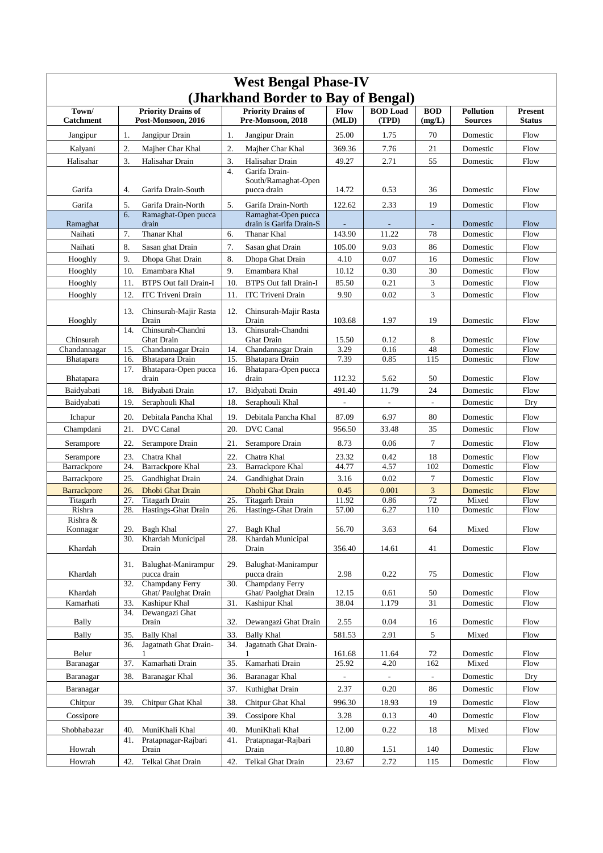| (Jharkhand Border to Bay of Bengal)<br>Town/<br><b>Priority Drains of</b><br><b>Priority Drains of</b><br>Flow<br><b>BOD</b> Load<br><b>BOD</b><br><b>Pollution</b><br><b>Present</b><br>Pre-Monsoon, 2018<br>(MLD)<br>(TPD)<br>(mg/L)<br>Catchment<br>Post-Monsoon, 2016<br><b>Sources</b><br><b>Status</b><br>Jangipur Drain<br>25.00<br>70<br>Jangipur<br>Jangipur Drain<br>1.<br>1.75<br>Domestic<br>Flow<br>1.<br>2.<br>2.<br>369.36<br>7.76<br>21<br>Kalyani<br>Majher Char Khal<br>Majher Char Khal<br>Domestic<br>Flow<br>3.<br>3.<br>55<br>49.27<br>2.71<br>Halisahar<br>Halisahar Drain<br>Halisahar Drain<br>Domestic<br>Flow<br>4.<br>Garifa Drain-<br>South/Ramaghat-Open<br>Garifa<br>4.<br>Garifa Drain-South<br>pucca drain<br>14.72<br>0.53<br>36<br>Domestic<br>Flow<br>5.<br>5.<br>19<br>Garifa<br>Garifa Drain-North<br>Garifa Drain-North<br>122.62<br>2.33<br>Flow<br>Domestic<br>6.<br>Ramaghat-Open pucca<br>Ramaghat-Open pucca<br>drain is Garifa Drain-S<br>drain<br>Flow<br>Ramaghat<br>Domestic<br>7.<br>Thanar Khal<br>143.90<br>11.22<br>78<br>Naihati<br>6.<br>Thanar Khal<br>Domestic<br>Flow<br>7.<br>8.<br>105.00<br>86<br>Naihati<br>Sasan ghat Drain<br>Sasan ghat Drain<br>9.03<br>Domestic<br>Flow<br>9.<br>8.<br>16<br>4.10<br>0.07<br>Hooghly<br>Dhopa Ghat Drain<br>Dhopa Ghat Drain<br>Domestic<br>Flow<br>9.<br>30<br>10.<br>Emambara Khal<br>10.12<br>0.30<br>Flow<br>Hooghly<br>Emambara Khal<br>Domestic<br>3<br>10.<br><b>BTPS Out fall Drain-I</b><br>85.50<br>0.21<br>Hooghly<br>11.<br><b>BTPS Out fall Drain-I</b><br>Domestic<br>Flow<br>3<br>12.<br>9.90<br>0.02<br>Hooghly<br><b>ITC</b> Triveni Drain<br>11.<br><b>ITC</b> Triveni Drain<br>Domestic<br>Flow<br>13.<br>Chinsurah-Majir Rasta<br>12.<br>Chinsurah-Majir Rasta<br>19<br>Hooghly<br>Drain<br>Drain<br>103.68<br>1.97<br>Flow<br>Domestic<br>Chinsurah-Chandni<br>Chinsurah-Chandni<br>13.<br>14.<br>8<br>Chinsurah<br>Ghat Drain<br>Ghat Drain<br>15.50<br>0.12<br>Domestic<br>Flow<br>3.29<br>48<br>Chandannagar Drain<br>Chandannagar Drain<br>0.16<br>Chandannagar<br>15.<br>14.<br>Domestic<br>Flow<br>Bhatapara Drain<br>15.<br>Bhatapara Drain<br>7.39<br>0.85<br>115<br>Flow<br>Bhatapara<br>16.<br>Domestic<br>17.<br>Bhatapara-Open pucca<br>Bhatapara-Open pucca<br>16.<br>112.32<br>5.62<br><b>Bhatapara</b><br>drain<br>drain<br>50<br>Domestic<br>Flow<br>Baidyabati<br>18.<br>Bidyabati Drain<br>17.<br>Bidyabati Drain<br>11.79<br>24<br>491.40<br>Domestic<br>Flow<br>19.<br>Baidyabati<br>Seraphouli Khal<br>18.<br>Seraphouli Khal<br>Domestic<br>Dry<br>$\overline{\phantom{a}}$<br>$\overline{a}$<br>$\overline{\phantom{a}}$<br>80<br>20.<br>87.09<br>6.97<br>Debitala Pancha Khal<br>19.<br>Debitala Pancha Khal<br>Flow<br>Ichapur<br>Domestic<br>21.<br>DVC Canal<br>20.<br><b>DVC</b> Canal<br>956.50<br>35<br>Flow<br>Champdani<br>33.48<br>Domestic<br>$\overline{7}$<br>8.73<br>0.06<br>Serampore<br>22.<br>Serampore Drain<br>21.<br>Serampore Drain<br>Domestic<br>Flow<br>23.<br>22.<br>Chatra Khal<br>23.32<br>18<br>Flow<br>Serampore<br>Chatra Khal<br>0.42<br>Domestic<br><b>Barrackpore Khal</b><br>24.<br>Barrackpore Khal<br>23.<br>44.77<br>4.57<br>102<br>Domestic<br>Flow<br>Barrackpore<br>7<br>0.02<br>25.<br>Gandhighat Drain<br>24.<br>Gandhighat Drain<br>3.16<br>Domestic<br>Flow<br>Barrackpore<br>3<br><b>Barrackpore</b><br>26.<br>Dhobi Ghat Drain<br><b>Dhobi Ghat Drain</b><br>0.45<br>0.001<br>Domestic<br>Flow<br>25.<br>11.92<br>72<br>Titagarh<br>27.<br>Titagarh Drain<br>Titagarh Drain<br>0.86<br>Mixed<br>Flow<br>Rishra<br>Hastings-Ghat Drain<br>Hastings-Ghat Drain<br>57.00<br>110<br>28.<br>26.<br>6.27<br>Domestic<br>Flow<br>Rishra &<br>Konnagar<br>29.<br><b>Bagh Khal</b><br>27.<br><b>Bagh Khal</b><br>56.70<br>3.63<br>64<br>Mixed<br>Flow<br>Khardah Municipal<br>Khardah Municipal<br>30.<br>28.<br>Khardah<br>Drain<br>Drain<br>356.40<br>14.61<br>41<br>Domestic<br>Flow<br>Balughat-Manirampur<br>Balughat-Manirampur<br>31.<br>29.<br>2.98<br>Khardah<br>pucca drain<br>pucca drain<br>0.22<br>75<br>Domestic<br>Flow<br>Champdany Ferry<br>Champdany Ferry<br>30.<br>32.<br>Ghat/ Paulghat Drain<br>Ghat/ Paolghat Drain<br>12.15<br>50<br>Flow<br>Khardah<br>0.61<br>Domestic<br>Kashipur Khal<br>38.04<br>1.179<br>31<br>Kamarhati<br>33.<br>31.<br>Kashipur Khal<br>Domestic<br>Flow<br>34.<br>Dewangazi Ghat<br>Dewangazi Ghat Drain<br>2.55<br>0.04<br>${\rm Flow}$<br>Bally<br>Drain<br>32.<br>16<br>Domestic<br>5<br>35.<br><b>Bally Khal</b><br>33.<br>581.53<br>2.91<br>Bally<br><b>Bally Khal</b><br>Mixed<br>Flow<br>Jagatnath Ghat Drain-<br>Jagatnath Ghat Drain-<br>36.<br>34.<br>Belur<br>161.68<br>72<br>11.64<br>Domestic<br>Flow<br>37.<br>Kamarhati Drain<br>Kamarhati Drain<br>25.92<br>162<br>Flow<br>35.<br>4.20<br>Mixed<br>Baranagar<br>38.<br>Baranagar Khal<br>Baranagar Khal<br>Domestic<br>Dry<br>Baranagar<br>36.<br>$\overline{a}$<br>$\overline{\phantom{a}}$<br>$\overline{\phantom{a}}$<br>Kuthighat Drain<br>2.37<br>0.20<br>86<br>Domestic<br>Baranagar<br>37.<br>Flow<br>39.<br>Chitpur Ghat Khal<br>38.<br>Chitpur Ghat Khal<br>996.30<br>18.93<br>19<br>Flow<br>Chitpur<br>Domestic<br>40<br>Cossipore<br>39.<br>Cossipore Khal<br>3.28<br>0.13<br>Domestic<br>Flow<br>MuniKhali Khal<br>Mixed<br>Shobhabazar<br>40.<br>MuniKhali Khal<br>40.<br>12.00<br>0.22<br>18<br>Flow<br>Pratapnagar-Rajbari<br>Pratapnagar-Rajbari<br>41.<br>41.<br>Howrah<br>Drain<br>Drain<br>10.80<br>1.51<br>140<br>Domestic<br>Flow<br>42.<br>42.<br>23.67<br>2.72<br>Telkal Ghat Drain<br>Telkal Ghat Drain<br>115<br>Domestic<br>Flow<br>Howrah | <b>West Bengal Phase-IV</b> |  |  |  |  |  |  |  |  |  |  |  |  |
|---------------------------------------------------------------------------------------------------------------------------------------------------------------------------------------------------------------------------------------------------------------------------------------------------------------------------------------------------------------------------------------------------------------------------------------------------------------------------------------------------------------------------------------------------------------------------------------------------------------------------------------------------------------------------------------------------------------------------------------------------------------------------------------------------------------------------------------------------------------------------------------------------------------------------------------------------------------------------------------------------------------------------------------------------------------------------------------------------------------------------------------------------------------------------------------------------------------------------------------------------------------------------------------------------------------------------------------------------------------------------------------------------------------------------------------------------------------------------------------------------------------------------------------------------------------------------------------------------------------------------------------------------------------------------------------------------------------------------------------------------------------------------------------------------------------------------------------------------------------------------------------------------------------------------------------------------------------------------------------------------------------------------------------------------------------------------------------------------------------------------------------------------------------------------------------------------------------------------------------------------------------------------------------------------------------------------------------------------------------------------------------------------------------------------------------------------------------------------------------------------------------------------------------------------------------------------------------------------------------------------------------------------------------------------------------------------------------------------------------------------------------------------------------------------------------------------------------------------------------------------------------------------------------------------------------------------------------------------------------------------------------------------------------------------------------------------------------------------------------------------------------------------------------------------------------------------------------------------------------------------------------------------------------------------------------------------------------------------------------------------------------------------------------------------------------------------------------------------------------------------------------------------------------------------------------------------------------------------------------------------------------------------------------------------------------------------------------------------------------------------------------------------------------------------------------------------------------------------------------------------------------------------------------------------------------------------------------------------------------------------------------------------------------------------------------------------------------------------------------------------------------------------------------------------------------------------------------------------------------------------------------------------------------------------------------------------------------------------------------------------------------------------------------------------------------------------------------------------------------------------------------------------------------------------------------------------------------------------------------------------------------------------------------------------------------------------------------------------------------------------------------------------------------------------------------------------------------------------------------------------------------------------------------------------------------------------------------------------------------------------------------------------------------------------------------------------------------------------------------------------------------------------------------------------------------------------------------------------------------------------------------------------------------------------------------------------------------------------------------------------------------------------------------------------------------------------------------------------------------------------------------------------------------------------------------------------------------------------------------------------------------------------------------------------|-----------------------------|--|--|--|--|--|--|--|--|--|--|--|--|
|                                                                                                                                                                                                                                                                                                                                                                                                                                                                                                                                                                                                                                                                                                                                                                                                                                                                                                                                                                                                                                                                                                                                                                                                                                                                                                                                                                                                                                                                                                                                                                                                                                                                                                                                                                                                                                                                                                                                                                                                                                                                                                                                                                                                                                                                                                                                                                                                                                                                                                                                                                                                                                                                                                                                                                                                                                                                                                                                                                                                                                                                                                                                                                                                                                                                                                                                                                                                                                                                                                                                                                                                                                                                                                                                                                                                                                                                                                                                                                                                                                                                                                                                                                                                                                                                                                                                                                                                                                                                                                                                                                                                                                                                                                                                                                                                                                                                                                                                                                                                                                                                                                                                                                                                                                                                                                                                                                                                                                                                                                                                                                                                                                                                           |                             |  |  |  |  |  |  |  |  |  |  |  |  |
|                                                                                                                                                                                                                                                                                                                                                                                                                                                                                                                                                                                                                                                                                                                                                                                                                                                                                                                                                                                                                                                                                                                                                                                                                                                                                                                                                                                                                                                                                                                                                                                                                                                                                                                                                                                                                                                                                                                                                                                                                                                                                                                                                                                                                                                                                                                                                                                                                                                                                                                                                                                                                                                                                                                                                                                                                                                                                                                                                                                                                                                                                                                                                                                                                                                                                                                                                                                                                                                                                                                                                                                                                                                                                                                                                                                                                                                                                                                                                                                                                                                                                                                                                                                                                                                                                                                                                                                                                                                                                                                                                                                                                                                                                                                                                                                                                                                                                                                                                                                                                                                                                                                                                                                                                                                                                                                                                                                                                                                                                                                                                                                                                                                                           |                             |  |  |  |  |  |  |  |  |  |  |  |  |
|                                                                                                                                                                                                                                                                                                                                                                                                                                                                                                                                                                                                                                                                                                                                                                                                                                                                                                                                                                                                                                                                                                                                                                                                                                                                                                                                                                                                                                                                                                                                                                                                                                                                                                                                                                                                                                                                                                                                                                                                                                                                                                                                                                                                                                                                                                                                                                                                                                                                                                                                                                                                                                                                                                                                                                                                                                                                                                                                                                                                                                                                                                                                                                                                                                                                                                                                                                                                                                                                                                                                                                                                                                                                                                                                                                                                                                                                                                                                                                                                                                                                                                                                                                                                                                                                                                                                                                                                                                                                                                                                                                                                                                                                                                                                                                                                                                                                                                                                                                                                                                                                                                                                                                                                                                                                                                                                                                                                                                                                                                                                                                                                                                                                           |                             |  |  |  |  |  |  |  |  |  |  |  |  |
|                                                                                                                                                                                                                                                                                                                                                                                                                                                                                                                                                                                                                                                                                                                                                                                                                                                                                                                                                                                                                                                                                                                                                                                                                                                                                                                                                                                                                                                                                                                                                                                                                                                                                                                                                                                                                                                                                                                                                                                                                                                                                                                                                                                                                                                                                                                                                                                                                                                                                                                                                                                                                                                                                                                                                                                                                                                                                                                                                                                                                                                                                                                                                                                                                                                                                                                                                                                                                                                                                                                                                                                                                                                                                                                                                                                                                                                                                                                                                                                                                                                                                                                                                                                                                                                                                                                                                                                                                                                                                                                                                                                                                                                                                                                                                                                                                                                                                                                                                                                                                                                                                                                                                                                                                                                                                                                                                                                                                                                                                                                                                                                                                                                                           |                             |  |  |  |  |  |  |  |  |  |  |  |  |
|                                                                                                                                                                                                                                                                                                                                                                                                                                                                                                                                                                                                                                                                                                                                                                                                                                                                                                                                                                                                                                                                                                                                                                                                                                                                                                                                                                                                                                                                                                                                                                                                                                                                                                                                                                                                                                                                                                                                                                                                                                                                                                                                                                                                                                                                                                                                                                                                                                                                                                                                                                                                                                                                                                                                                                                                                                                                                                                                                                                                                                                                                                                                                                                                                                                                                                                                                                                                                                                                                                                                                                                                                                                                                                                                                                                                                                                                                                                                                                                                                                                                                                                                                                                                                                                                                                                                                                                                                                                                                                                                                                                                                                                                                                                                                                                                                                                                                                                                                                                                                                                                                                                                                                                                                                                                                                                                                                                                                                                                                                                                                                                                                                                                           |                             |  |  |  |  |  |  |  |  |  |  |  |  |
|                                                                                                                                                                                                                                                                                                                                                                                                                                                                                                                                                                                                                                                                                                                                                                                                                                                                                                                                                                                                                                                                                                                                                                                                                                                                                                                                                                                                                                                                                                                                                                                                                                                                                                                                                                                                                                                                                                                                                                                                                                                                                                                                                                                                                                                                                                                                                                                                                                                                                                                                                                                                                                                                                                                                                                                                                                                                                                                                                                                                                                                                                                                                                                                                                                                                                                                                                                                                                                                                                                                                                                                                                                                                                                                                                                                                                                                                                                                                                                                                                                                                                                                                                                                                                                                                                                                                                                                                                                                                                                                                                                                                                                                                                                                                                                                                                                                                                                                                                                                                                                                                                                                                                                                                                                                                                                                                                                                                                                                                                                                                                                                                                                                                           |                             |  |  |  |  |  |  |  |  |  |  |  |  |
|                                                                                                                                                                                                                                                                                                                                                                                                                                                                                                                                                                                                                                                                                                                                                                                                                                                                                                                                                                                                                                                                                                                                                                                                                                                                                                                                                                                                                                                                                                                                                                                                                                                                                                                                                                                                                                                                                                                                                                                                                                                                                                                                                                                                                                                                                                                                                                                                                                                                                                                                                                                                                                                                                                                                                                                                                                                                                                                                                                                                                                                                                                                                                                                                                                                                                                                                                                                                                                                                                                                                                                                                                                                                                                                                                                                                                                                                                                                                                                                                                                                                                                                                                                                                                                                                                                                                                                                                                                                                                                                                                                                                                                                                                                                                                                                                                                                                                                                                                                                                                                                                                                                                                                                                                                                                                                                                                                                                                                                                                                                                                                                                                                                                           |                             |  |  |  |  |  |  |  |  |  |  |  |  |
|                                                                                                                                                                                                                                                                                                                                                                                                                                                                                                                                                                                                                                                                                                                                                                                                                                                                                                                                                                                                                                                                                                                                                                                                                                                                                                                                                                                                                                                                                                                                                                                                                                                                                                                                                                                                                                                                                                                                                                                                                                                                                                                                                                                                                                                                                                                                                                                                                                                                                                                                                                                                                                                                                                                                                                                                                                                                                                                                                                                                                                                                                                                                                                                                                                                                                                                                                                                                                                                                                                                                                                                                                                                                                                                                                                                                                                                                                                                                                                                                                                                                                                                                                                                                                                                                                                                                                                                                                                                                                                                                                                                                                                                                                                                                                                                                                                                                                                                                                                                                                                                                                                                                                                                                                                                                                                                                                                                                                                                                                                                                                                                                                                                                           |                             |  |  |  |  |  |  |  |  |  |  |  |  |
|                                                                                                                                                                                                                                                                                                                                                                                                                                                                                                                                                                                                                                                                                                                                                                                                                                                                                                                                                                                                                                                                                                                                                                                                                                                                                                                                                                                                                                                                                                                                                                                                                                                                                                                                                                                                                                                                                                                                                                                                                                                                                                                                                                                                                                                                                                                                                                                                                                                                                                                                                                                                                                                                                                                                                                                                                                                                                                                                                                                                                                                                                                                                                                                                                                                                                                                                                                                                                                                                                                                                                                                                                                                                                                                                                                                                                                                                                                                                                                                                                                                                                                                                                                                                                                                                                                                                                                                                                                                                                                                                                                                                                                                                                                                                                                                                                                                                                                                                                                                                                                                                                                                                                                                                                                                                                                                                                                                                                                                                                                                                                                                                                                                                           |                             |  |  |  |  |  |  |  |  |  |  |  |  |
|                                                                                                                                                                                                                                                                                                                                                                                                                                                                                                                                                                                                                                                                                                                                                                                                                                                                                                                                                                                                                                                                                                                                                                                                                                                                                                                                                                                                                                                                                                                                                                                                                                                                                                                                                                                                                                                                                                                                                                                                                                                                                                                                                                                                                                                                                                                                                                                                                                                                                                                                                                                                                                                                                                                                                                                                                                                                                                                                                                                                                                                                                                                                                                                                                                                                                                                                                                                                                                                                                                                                                                                                                                                                                                                                                                                                                                                                                                                                                                                                                                                                                                                                                                                                                                                                                                                                                                                                                                                                                                                                                                                                                                                                                                                                                                                                                                                                                                                                                                                                                                                                                                                                                                                                                                                                                                                                                                                                                                                                                                                                                                                                                                                                           |                             |  |  |  |  |  |  |  |  |  |  |  |  |
|                                                                                                                                                                                                                                                                                                                                                                                                                                                                                                                                                                                                                                                                                                                                                                                                                                                                                                                                                                                                                                                                                                                                                                                                                                                                                                                                                                                                                                                                                                                                                                                                                                                                                                                                                                                                                                                                                                                                                                                                                                                                                                                                                                                                                                                                                                                                                                                                                                                                                                                                                                                                                                                                                                                                                                                                                                                                                                                                                                                                                                                                                                                                                                                                                                                                                                                                                                                                                                                                                                                                                                                                                                                                                                                                                                                                                                                                                                                                                                                                                                                                                                                                                                                                                                                                                                                                                                                                                                                                                                                                                                                                                                                                                                                                                                                                                                                                                                                                                                                                                                                                                                                                                                                                                                                                                                                                                                                                                                                                                                                                                                                                                                                                           |                             |  |  |  |  |  |  |  |  |  |  |  |  |
|                                                                                                                                                                                                                                                                                                                                                                                                                                                                                                                                                                                                                                                                                                                                                                                                                                                                                                                                                                                                                                                                                                                                                                                                                                                                                                                                                                                                                                                                                                                                                                                                                                                                                                                                                                                                                                                                                                                                                                                                                                                                                                                                                                                                                                                                                                                                                                                                                                                                                                                                                                                                                                                                                                                                                                                                                                                                                                                                                                                                                                                                                                                                                                                                                                                                                                                                                                                                                                                                                                                                                                                                                                                                                                                                                                                                                                                                                                                                                                                                                                                                                                                                                                                                                                                                                                                                                                                                                                                                                                                                                                                                                                                                                                                                                                                                                                                                                                                                                                                                                                                                                                                                                                                                                                                                                                                                                                                                                                                                                                                                                                                                                                                                           |                             |  |  |  |  |  |  |  |  |  |  |  |  |
|                                                                                                                                                                                                                                                                                                                                                                                                                                                                                                                                                                                                                                                                                                                                                                                                                                                                                                                                                                                                                                                                                                                                                                                                                                                                                                                                                                                                                                                                                                                                                                                                                                                                                                                                                                                                                                                                                                                                                                                                                                                                                                                                                                                                                                                                                                                                                                                                                                                                                                                                                                                                                                                                                                                                                                                                                                                                                                                                                                                                                                                                                                                                                                                                                                                                                                                                                                                                                                                                                                                                                                                                                                                                                                                                                                                                                                                                                                                                                                                                                                                                                                                                                                                                                                                                                                                                                                                                                                                                                                                                                                                                                                                                                                                                                                                                                                                                                                                                                                                                                                                                                                                                                                                                                                                                                                                                                                                                                                                                                                                                                                                                                                                                           |                             |  |  |  |  |  |  |  |  |  |  |  |  |
|                                                                                                                                                                                                                                                                                                                                                                                                                                                                                                                                                                                                                                                                                                                                                                                                                                                                                                                                                                                                                                                                                                                                                                                                                                                                                                                                                                                                                                                                                                                                                                                                                                                                                                                                                                                                                                                                                                                                                                                                                                                                                                                                                                                                                                                                                                                                                                                                                                                                                                                                                                                                                                                                                                                                                                                                                                                                                                                                                                                                                                                                                                                                                                                                                                                                                                                                                                                                                                                                                                                                                                                                                                                                                                                                                                                                                                                                                                                                                                                                                                                                                                                                                                                                                                                                                                                                                                                                                                                                                                                                                                                                                                                                                                                                                                                                                                                                                                                                                                                                                                                                                                                                                                                                                                                                                                                                                                                                                                                                                                                                                                                                                                                                           |                             |  |  |  |  |  |  |  |  |  |  |  |  |
|                                                                                                                                                                                                                                                                                                                                                                                                                                                                                                                                                                                                                                                                                                                                                                                                                                                                                                                                                                                                                                                                                                                                                                                                                                                                                                                                                                                                                                                                                                                                                                                                                                                                                                                                                                                                                                                                                                                                                                                                                                                                                                                                                                                                                                                                                                                                                                                                                                                                                                                                                                                                                                                                                                                                                                                                                                                                                                                                                                                                                                                                                                                                                                                                                                                                                                                                                                                                                                                                                                                                                                                                                                                                                                                                                                                                                                                                                                                                                                                                                                                                                                                                                                                                                                                                                                                                                                                                                                                                                                                                                                                                                                                                                                                                                                                                                                                                                                                                                                                                                                                                                                                                                                                                                                                                                                                                                                                                                                                                                                                                                                                                                                                                           |                             |  |  |  |  |  |  |  |  |  |  |  |  |
|                                                                                                                                                                                                                                                                                                                                                                                                                                                                                                                                                                                                                                                                                                                                                                                                                                                                                                                                                                                                                                                                                                                                                                                                                                                                                                                                                                                                                                                                                                                                                                                                                                                                                                                                                                                                                                                                                                                                                                                                                                                                                                                                                                                                                                                                                                                                                                                                                                                                                                                                                                                                                                                                                                                                                                                                                                                                                                                                                                                                                                                                                                                                                                                                                                                                                                                                                                                                                                                                                                                                                                                                                                                                                                                                                                                                                                                                                                                                                                                                                                                                                                                                                                                                                                                                                                                                                                                                                                                                                                                                                                                                                                                                                                                                                                                                                                                                                                                                                                                                                                                                                                                                                                                                                                                                                                                                                                                                                                                                                                                                                                                                                                                                           |                             |  |  |  |  |  |  |  |  |  |  |  |  |
|                                                                                                                                                                                                                                                                                                                                                                                                                                                                                                                                                                                                                                                                                                                                                                                                                                                                                                                                                                                                                                                                                                                                                                                                                                                                                                                                                                                                                                                                                                                                                                                                                                                                                                                                                                                                                                                                                                                                                                                                                                                                                                                                                                                                                                                                                                                                                                                                                                                                                                                                                                                                                                                                                                                                                                                                                                                                                                                                                                                                                                                                                                                                                                                                                                                                                                                                                                                                                                                                                                                                                                                                                                                                                                                                                                                                                                                                                                                                                                                                                                                                                                                                                                                                                                                                                                                                                                                                                                                                                                                                                                                                                                                                                                                                                                                                                                                                                                                                                                                                                                                                                                                                                                                                                                                                                                                                                                                                                                                                                                                                                                                                                                                                           |                             |  |  |  |  |  |  |  |  |  |  |  |  |
|                                                                                                                                                                                                                                                                                                                                                                                                                                                                                                                                                                                                                                                                                                                                                                                                                                                                                                                                                                                                                                                                                                                                                                                                                                                                                                                                                                                                                                                                                                                                                                                                                                                                                                                                                                                                                                                                                                                                                                                                                                                                                                                                                                                                                                                                                                                                                                                                                                                                                                                                                                                                                                                                                                                                                                                                                                                                                                                                                                                                                                                                                                                                                                                                                                                                                                                                                                                                                                                                                                                                                                                                                                                                                                                                                                                                                                                                                                                                                                                                                                                                                                                                                                                                                                                                                                                                                                                                                                                                                                                                                                                                                                                                                                                                                                                                                                                                                                                                                                                                                                                                                                                                                                                                                                                                                                                                                                                                                                                                                                                                                                                                                                                                           |                             |  |  |  |  |  |  |  |  |  |  |  |  |
|                                                                                                                                                                                                                                                                                                                                                                                                                                                                                                                                                                                                                                                                                                                                                                                                                                                                                                                                                                                                                                                                                                                                                                                                                                                                                                                                                                                                                                                                                                                                                                                                                                                                                                                                                                                                                                                                                                                                                                                                                                                                                                                                                                                                                                                                                                                                                                                                                                                                                                                                                                                                                                                                                                                                                                                                                                                                                                                                                                                                                                                                                                                                                                                                                                                                                                                                                                                                                                                                                                                                                                                                                                                                                                                                                                                                                                                                                                                                                                                                                                                                                                                                                                                                                                                                                                                                                                                                                                                                                                                                                                                                                                                                                                                                                                                                                                                                                                                                                                                                                                                                                                                                                                                                                                                                                                                                                                                                                                                                                                                                                                                                                                                                           |                             |  |  |  |  |  |  |  |  |  |  |  |  |
|                                                                                                                                                                                                                                                                                                                                                                                                                                                                                                                                                                                                                                                                                                                                                                                                                                                                                                                                                                                                                                                                                                                                                                                                                                                                                                                                                                                                                                                                                                                                                                                                                                                                                                                                                                                                                                                                                                                                                                                                                                                                                                                                                                                                                                                                                                                                                                                                                                                                                                                                                                                                                                                                                                                                                                                                                                                                                                                                                                                                                                                                                                                                                                                                                                                                                                                                                                                                                                                                                                                                                                                                                                                                                                                                                                                                                                                                                                                                                                                                                                                                                                                                                                                                                                                                                                                                                                                                                                                                                                                                                                                                                                                                                                                                                                                                                                                                                                                                                                                                                                                                                                                                                                                                                                                                                                                                                                                                                                                                                                                                                                                                                                                                           |                             |  |  |  |  |  |  |  |  |  |  |  |  |
|                                                                                                                                                                                                                                                                                                                                                                                                                                                                                                                                                                                                                                                                                                                                                                                                                                                                                                                                                                                                                                                                                                                                                                                                                                                                                                                                                                                                                                                                                                                                                                                                                                                                                                                                                                                                                                                                                                                                                                                                                                                                                                                                                                                                                                                                                                                                                                                                                                                                                                                                                                                                                                                                                                                                                                                                                                                                                                                                                                                                                                                                                                                                                                                                                                                                                                                                                                                                                                                                                                                                                                                                                                                                                                                                                                                                                                                                                                                                                                                                                                                                                                                                                                                                                                                                                                                                                                                                                                                                                                                                                                                                                                                                                                                                                                                                                                                                                                                                                                                                                                                                                                                                                                                                                                                                                                                                                                                                                                                                                                                                                                                                                                                                           |                             |  |  |  |  |  |  |  |  |  |  |  |  |
|                                                                                                                                                                                                                                                                                                                                                                                                                                                                                                                                                                                                                                                                                                                                                                                                                                                                                                                                                                                                                                                                                                                                                                                                                                                                                                                                                                                                                                                                                                                                                                                                                                                                                                                                                                                                                                                                                                                                                                                                                                                                                                                                                                                                                                                                                                                                                                                                                                                                                                                                                                                                                                                                                                                                                                                                                                                                                                                                                                                                                                                                                                                                                                                                                                                                                                                                                                                                                                                                                                                                                                                                                                                                                                                                                                                                                                                                                                                                                                                                                                                                                                                                                                                                                                                                                                                                                                                                                                                                                                                                                                                                                                                                                                                                                                                                                                                                                                                                                                                                                                                                                                                                                                                                                                                                                                                                                                                                                                                                                                                                                                                                                                                                           |                             |  |  |  |  |  |  |  |  |  |  |  |  |
|                                                                                                                                                                                                                                                                                                                                                                                                                                                                                                                                                                                                                                                                                                                                                                                                                                                                                                                                                                                                                                                                                                                                                                                                                                                                                                                                                                                                                                                                                                                                                                                                                                                                                                                                                                                                                                                                                                                                                                                                                                                                                                                                                                                                                                                                                                                                                                                                                                                                                                                                                                                                                                                                                                                                                                                                                                                                                                                                                                                                                                                                                                                                                                                                                                                                                                                                                                                                                                                                                                                                                                                                                                                                                                                                                                                                                                                                                                                                                                                                                                                                                                                                                                                                                                                                                                                                                                                                                                                                                                                                                                                                                                                                                                                                                                                                                                                                                                                                                                                                                                                                                                                                                                                                                                                                                                                                                                                                                                                                                                                                                                                                                                                                           |                             |  |  |  |  |  |  |  |  |  |  |  |  |
|                                                                                                                                                                                                                                                                                                                                                                                                                                                                                                                                                                                                                                                                                                                                                                                                                                                                                                                                                                                                                                                                                                                                                                                                                                                                                                                                                                                                                                                                                                                                                                                                                                                                                                                                                                                                                                                                                                                                                                                                                                                                                                                                                                                                                                                                                                                                                                                                                                                                                                                                                                                                                                                                                                                                                                                                                                                                                                                                                                                                                                                                                                                                                                                                                                                                                                                                                                                                                                                                                                                                                                                                                                                                                                                                                                                                                                                                                                                                                                                                                                                                                                                                                                                                                                                                                                                                                                                                                                                                                                                                                                                                                                                                                                                                                                                                                                                                                                                                                                                                                                                                                                                                                                                                                                                                                                                                                                                                                                                                                                                                                                                                                                                                           |                             |  |  |  |  |  |  |  |  |  |  |  |  |
|                                                                                                                                                                                                                                                                                                                                                                                                                                                                                                                                                                                                                                                                                                                                                                                                                                                                                                                                                                                                                                                                                                                                                                                                                                                                                                                                                                                                                                                                                                                                                                                                                                                                                                                                                                                                                                                                                                                                                                                                                                                                                                                                                                                                                                                                                                                                                                                                                                                                                                                                                                                                                                                                                                                                                                                                                                                                                                                                                                                                                                                                                                                                                                                                                                                                                                                                                                                                                                                                                                                                                                                                                                                                                                                                                                                                                                                                                                                                                                                                                                                                                                                                                                                                                                                                                                                                                                                                                                                                                                                                                                                                                                                                                                                                                                                                                                                                                                                                                                                                                                                                                                                                                                                                                                                                                                                                                                                                                                                                                                                                                                                                                                                                           |                             |  |  |  |  |  |  |  |  |  |  |  |  |
|                                                                                                                                                                                                                                                                                                                                                                                                                                                                                                                                                                                                                                                                                                                                                                                                                                                                                                                                                                                                                                                                                                                                                                                                                                                                                                                                                                                                                                                                                                                                                                                                                                                                                                                                                                                                                                                                                                                                                                                                                                                                                                                                                                                                                                                                                                                                                                                                                                                                                                                                                                                                                                                                                                                                                                                                                                                                                                                                                                                                                                                                                                                                                                                                                                                                                                                                                                                                                                                                                                                                                                                                                                                                                                                                                                                                                                                                                                                                                                                                                                                                                                                                                                                                                                                                                                                                                                                                                                                                                                                                                                                                                                                                                                                                                                                                                                                                                                                                                                                                                                                                                                                                                                                                                                                                                                                                                                                                                                                                                                                                                                                                                                                                           |                             |  |  |  |  |  |  |  |  |  |  |  |  |
|                                                                                                                                                                                                                                                                                                                                                                                                                                                                                                                                                                                                                                                                                                                                                                                                                                                                                                                                                                                                                                                                                                                                                                                                                                                                                                                                                                                                                                                                                                                                                                                                                                                                                                                                                                                                                                                                                                                                                                                                                                                                                                                                                                                                                                                                                                                                                                                                                                                                                                                                                                                                                                                                                                                                                                                                                                                                                                                                                                                                                                                                                                                                                                                                                                                                                                                                                                                                                                                                                                                                                                                                                                                                                                                                                                                                                                                                                                                                                                                                                                                                                                                                                                                                                                                                                                                                                                                                                                                                                                                                                                                                                                                                                                                                                                                                                                                                                                                                                                                                                                                                                                                                                                                                                                                                                                                                                                                                                                                                                                                                                                                                                                                                           |                             |  |  |  |  |  |  |  |  |  |  |  |  |
|                                                                                                                                                                                                                                                                                                                                                                                                                                                                                                                                                                                                                                                                                                                                                                                                                                                                                                                                                                                                                                                                                                                                                                                                                                                                                                                                                                                                                                                                                                                                                                                                                                                                                                                                                                                                                                                                                                                                                                                                                                                                                                                                                                                                                                                                                                                                                                                                                                                                                                                                                                                                                                                                                                                                                                                                                                                                                                                                                                                                                                                                                                                                                                                                                                                                                                                                                                                                                                                                                                                                                                                                                                                                                                                                                                                                                                                                                                                                                                                                                                                                                                                                                                                                                                                                                                                                                                                                                                                                                                                                                                                                                                                                                                                                                                                                                                                                                                                                                                                                                                                                                                                                                                                                                                                                                                                                                                                                                                                                                                                                                                                                                                                                           |                             |  |  |  |  |  |  |  |  |  |  |  |  |
|                                                                                                                                                                                                                                                                                                                                                                                                                                                                                                                                                                                                                                                                                                                                                                                                                                                                                                                                                                                                                                                                                                                                                                                                                                                                                                                                                                                                                                                                                                                                                                                                                                                                                                                                                                                                                                                                                                                                                                                                                                                                                                                                                                                                                                                                                                                                                                                                                                                                                                                                                                                                                                                                                                                                                                                                                                                                                                                                                                                                                                                                                                                                                                                                                                                                                                                                                                                                                                                                                                                                                                                                                                                                                                                                                                                                                                                                                                                                                                                                                                                                                                                                                                                                                                                                                                                                                                                                                                                                                                                                                                                                                                                                                                                                                                                                                                                                                                                                                                                                                                                                                                                                                                                                                                                                                                                                                                                                                                                                                                                                                                                                                                                                           |                             |  |  |  |  |  |  |  |  |  |  |  |  |
|                                                                                                                                                                                                                                                                                                                                                                                                                                                                                                                                                                                                                                                                                                                                                                                                                                                                                                                                                                                                                                                                                                                                                                                                                                                                                                                                                                                                                                                                                                                                                                                                                                                                                                                                                                                                                                                                                                                                                                                                                                                                                                                                                                                                                                                                                                                                                                                                                                                                                                                                                                                                                                                                                                                                                                                                                                                                                                                                                                                                                                                                                                                                                                                                                                                                                                                                                                                                                                                                                                                                                                                                                                                                                                                                                                                                                                                                                                                                                                                                                                                                                                                                                                                                                                                                                                                                                                                                                                                                                                                                                                                                                                                                                                                                                                                                                                                                                                                                                                                                                                                                                                                                                                                                                                                                                                                                                                                                                                                                                                                                                                                                                                                                           |                             |  |  |  |  |  |  |  |  |  |  |  |  |
|                                                                                                                                                                                                                                                                                                                                                                                                                                                                                                                                                                                                                                                                                                                                                                                                                                                                                                                                                                                                                                                                                                                                                                                                                                                                                                                                                                                                                                                                                                                                                                                                                                                                                                                                                                                                                                                                                                                                                                                                                                                                                                                                                                                                                                                                                                                                                                                                                                                                                                                                                                                                                                                                                                                                                                                                                                                                                                                                                                                                                                                                                                                                                                                                                                                                                                                                                                                                                                                                                                                                                                                                                                                                                                                                                                                                                                                                                                                                                                                                                                                                                                                                                                                                                                                                                                                                                                                                                                                                                                                                                                                                                                                                                                                                                                                                                                                                                                                                                                                                                                                                                                                                                                                                                                                                                                                                                                                                                                                                                                                                                                                                                                                                           |                             |  |  |  |  |  |  |  |  |  |  |  |  |
|                                                                                                                                                                                                                                                                                                                                                                                                                                                                                                                                                                                                                                                                                                                                                                                                                                                                                                                                                                                                                                                                                                                                                                                                                                                                                                                                                                                                                                                                                                                                                                                                                                                                                                                                                                                                                                                                                                                                                                                                                                                                                                                                                                                                                                                                                                                                                                                                                                                                                                                                                                                                                                                                                                                                                                                                                                                                                                                                                                                                                                                                                                                                                                                                                                                                                                                                                                                                                                                                                                                                                                                                                                                                                                                                                                                                                                                                                                                                                                                                                                                                                                                                                                                                                                                                                                                                                                                                                                                                                                                                                                                                                                                                                                                                                                                                                                                                                                                                                                                                                                                                                                                                                                                                                                                                                                                                                                                                                                                                                                                                                                                                                                                                           |                             |  |  |  |  |  |  |  |  |  |  |  |  |
|                                                                                                                                                                                                                                                                                                                                                                                                                                                                                                                                                                                                                                                                                                                                                                                                                                                                                                                                                                                                                                                                                                                                                                                                                                                                                                                                                                                                                                                                                                                                                                                                                                                                                                                                                                                                                                                                                                                                                                                                                                                                                                                                                                                                                                                                                                                                                                                                                                                                                                                                                                                                                                                                                                                                                                                                                                                                                                                                                                                                                                                                                                                                                                                                                                                                                                                                                                                                                                                                                                                                                                                                                                                                                                                                                                                                                                                                                                                                                                                                                                                                                                                                                                                                                                                                                                                                                                                                                                                                                                                                                                                                                                                                                                                                                                                                                                                                                                                                                                                                                                                                                                                                                                                                                                                                                                                                                                                                                                                                                                                                                                                                                                                                           |                             |  |  |  |  |  |  |  |  |  |  |  |  |
|                                                                                                                                                                                                                                                                                                                                                                                                                                                                                                                                                                                                                                                                                                                                                                                                                                                                                                                                                                                                                                                                                                                                                                                                                                                                                                                                                                                                                                                                                                                                                                                                                                                                                                                                                                                                                                                                                                                                                                                                                                                                                                                                                                                                                                                                                                                                                                                                                                                                                                                                                                                                                                                                                                                                                                                                                                                                                                                                                                                                                                                                                                                                                                                                                                                                                                                                                                                                                                                                                                                                                                                                                                                                                                                                                                                                                                                                                                                                                                                                                                                                                                                                                                                                                                                                                                                                                                                                                                                                                                                                                                                                                                                                                                                                                                                                                                                                                                                                                                                                                                                                                                                                                                                                                                                                                                                                                                                                                                                                                                                                                                                                                                                                           |                             |  |  |  |  |  |  |  |  |  |  |  |  |
|                                                                                                                                                                                                                                                                                                                                                                                                                                                                                                                                                                                                                                                                                                                                                                                                                                                                                                                                                                                                                                                                                                                                                                                                                                                                                                                                                                                                                                                                                                                                                                                                                                                                                                                                                                                                                                                                                                                                                                                                                                                                                                                                                                                                                                                                                                                                                                                                                                                                                                                                                                                                                                                                                                                                                                                                                                                                                                                                                                                                                                                                                                                                                                                                                                                                                                                                                                                                                                                                                                                                                                                                                                                                                                                                                                                                                                                                                                                                                                                                                                                                                                                                                                                                                                                                                                                                                                                                                                                                                                                                                                                                                                                                                                                                                                                                                                                                                                                                                                                                                                                                                                                                                                                                                                                                                                                                                                                                                                                                                                                                                                                                                                                                           |                             |  |  |  |  |  |  |  |  |  |  |  |  |
|                                                                                                                                                                                                                                                                                                                                                                                                                                                                                                                                                                                                                                                                                                                                                                                                                                                                                                                                                                                                                                                                                                                                                                                                                                                                                                                                                                                                                                                                                                                                                                                                                                                                                                                                                                                                                                                                                                                                                                                                                                                                                                                                                                                                                                                                                                                                                                                                                                                                                                                                                                                                                                                                                                                                                                                                                                                                                                                                                                                                                                                                                                                                                                                                                                                                                                                                                                                                                                                                                                                                                                                                                                                                                                                                                                                                                                                                                                                                                                                                                                                                                                                                                                                                                                                                                                                                                                                                                                                                                                                                                                                                                                                                                                                                                                                                                                                                                                                                                                                                                                                                                                                                                                                                                                                                                                                                                                                                                                                                                                                                                                                                                                                                           |                             |  |  |  |  |  |  |  |  |  |  |  |  |
|                                                                                                                                                                                                                                                                                                                                                                                                                                                                                                                                                                                                                                                                                                                                                                                                                                                                                                                                                                                                                                                                                                                                                                                                                                                                                                                                                                                                                                                                                                                                                                                                                                                                                                                                                                                                                                                                                                                                                                                                                                                                                                                                                                                                                                                                                                                                                                                                                                                                                                                                                                                                                                                                                                                                                                                                                                                                                                                                                                                                                                                                                                                                                                                                                                                                                                                                                                                                                                                                                                                                                                                                                                                                                                                                                                                                                                                                                                                                                                                                                                                                                                                                                                                                                                                                                                                                                                                                                                                                                                                                                                                                                                                                                                                                                                                                                                                                                                                                                                                                                                                                                                                                                                                                                                                                                                                                                                                                                                                                                                                                                                                                                                                                           |                             |  |  |  |  |  |  |  |  |  |  |  |  |
|                                                                                                                                                                                                                                                                                                                                                                                                                                                                                                                                                                                                                                                                                                                                                                                                                                                                                                                                                                                                                                                                                                                                                                                                                                                                                                                                                                                                                                                                                                                                                                                                                                                                                                                                                                                                                                                                                                                                                                                                                                                                                                                                                                                                                                                                                                                                                                                                                                                                                                                                                                                                                                                                                                                                                                                                                                                                                                                                                                                                                                                                                                                                                                                                                                                                                                                                                                                                                                                                                                                                                                                                                                                                                                                                                                                                                                                                                                                                                                                                                                                                                                                                                                                                                                                                                                                                                                                                                                                                                                                                                                                                                                                                                                                                                                                                                                                                                                                                                                                                                                                                                                                                                                                                                                                                                                                                                                                                                                                                                                                                                                                                                                                                           |                             |  |  |  |  |  |  |  |  |  |  |  |  |
|                                                                                                                                                                                                                                                                                                                                                                                                                                                                                                                                                                                                                                                                                                                                                                                                                                                                                                                                                                                                                                                                                                                                                                                                                                                                                                                                                                                                                                                                                                                                                                                                                                                                                                                                                                                                                                                                                                                                                                                                                                                                                                                                                                                                                                                                                                                                                                                                                                                                                                                                                                                                                                                                                                                                                                                                                                                                                                                                                                                                                                                                                                                                                                                                                                                                                                                                                                                                                                                                                                                                                                                                                                                                                                                                                                                                                                                                                                                                                                                                                                                                                                                                                                                                                                                                                                                                                                                                                                                                                                                                                                                                                                                                                                                                                                                                                                                                                                                                                                                                                                                                                                                                                                                                                                                                                                                                                                                                                                                                                                                                                                                                                                                                           |                             |  |  |  |  |  |  |  |  |  |  |  |  |
|                                                                                                                                                                                                                                                                                                                                                                                                                                                                                                                                                                                                                                                                                                                                                                                                                                                                                                                                                                                                                                                                                                                                                                                                                                                                                                                                                                                                                                                                                                                                                                                                                                                                                                                                                                                                                                                                                                                                                                                                                                                                                                                                                                                                                                                                                                                                                                                                                                                                                                                                                                                                                                                                                                                                                                                                                                                                                                                                                                                                                                                                                                                                                                                                                                                                                                                                                                                                                                                                                                                                                                                                                                                                                                                                                                                                                                                                                                                                                                                                                                                                                                                                                                                                                                                                                                                                                                                                                                                                                                                                                                                                                                                                                                                                                                                                                                                                                                                                                                                                                                                                                                                                                                                                                                                                                                                                                                                                                                                                                                                                                                                                                                                                           |                             |  |  |  |  |  |  |  |  |  |  |  |  |
|                                                                                                                                                                                                                                                                                                                                                                                                                                                                                                                                                                                                                                                                                                                                                                                                                                                                                                                                                                                                                                                                                                                                                                                                                                                                                                                                                                                                                                                                                                                                                                                                                                                                                                                                                                                                                                                                                                                                                                                                                                                                                                                                                                                                                                                                                                                                                                                                                                                                                                                                                                                                                                                                                                                                                                                                                                                                                                                                                                                                                                                                                                                                                                                                                                                                                                                                                                                                                                                                                                                                                                                                                                                                                                                                                                                                                                                                                                                                                                                                                                                                                                                                                                                                                                                                                                                                                                                                                                                                                                                                                                                                                                                                                                                                                                                                                                                                                                                                                                                                                                                                                                                                                                                                                                                                                                                                                                                                                                                                                                                                                                                                                                                                           |                             |  |  |  |  |  |  |  |  |  |  |  |  |
|                                                                                                                                                                                                                                                                                                                                                                                                                                                                                                                                                                                                                                                                                                                                                                                                                                                                                                                                                                                                                                                                                                                                                                                                                                                                                                                                                                                                                                                                                                                                                                                                                                                                                                                                                                                                                                                                                                                                                                                                                                                                                                                                                                                                                                                                                                                                                                                                                                                                                                                                                                                                                                                                                                                                                                                                                                                                                                                                                                                                                                                                                                                                                                                                                                                                                                                                                                                                                                                                                                                                                                                                                                                                                                                                                                                                                                                                                                                                                                                                                                                                                                                                                                                                                                                                                                                                                                                                                                                                                                                                                                                                                                                                                                                                                                                                                                                                                                                                                                                                                                                                                                                                                                                                                                                                                                                                                                                                                                                                                                                                                                                                                                                                           |                             |  |  |  |  |  |  |  |  |  |  |  |  |
|                                                                                                                                                                                                                                                                                                                                                                                                                                                                                                                                                                                                                                                                                                                                                                                                                                                                                                                                                                                                                                                                                                                                                                                                                                                                                                                                                                                                                                                                                                                                                                                                                                                                                                                                                                                                                                                                                                                                                                                                                                                                                                                                                                                                                                                                                                                                                                                                                                                                                                                                                                                                                                                                                                                                                                                                                                                                                                                                                                                                                                                                                                                                                                                                                                                                                                                                                                                                                                                                                                                                                                                                                                                                                                                                                                                                                                                                                                                                                                                                                                                                                                                                                                                                                                                                                                                                                                                                                                                                                                                                                                                                                                                                                                                                                                                                                                                                                                                                                                                                                                                                                                                                                                                                                                                                                                                                                                                                                                                                                                                                                                                                                                                                           |                             |  |  |  |  |  |  |  |  |  |  |  |  |
|                                                                                                                                                                                                                                                                                                                                                                                                                                                                                                                                                                                                                                                                                                                                                                                                                                                                                                                                                                                                                                                                                                                                                                                                                                                                                                                                                                                                                                                                                                                                                                                                                                                                                                                                                                                                                                                                                                                                                                                                                                                                                                                                                                                                                                                                                                                                                                                                                                                                                                                                                                                                                                                                                                                                                                                                                                                                                                                                                                                                                                                                                                                                                                                                                                                                                                                                                                                                                                                                                                                                                                                                                                                                                                                                                                                                                                                                                                                                                                                                                                                                                                                                                                                                                                                                                                                                                                                                                                                                                                                                                                                                                                                                                                                                                                                                                                                                                                                                                                                                                                                                                                                                                                                                                                                                                                                                                                                                                                                                                                                                                                                                                                                                           |                             |  |  |  |  |  |  |  |  |  |  |  |  |
|                                                                                                                                                                                                                                                                                                                                                                                                                                                                                                                                                                                                                                                                                                                                                                                                                                                                                                                                                                                                                                                                                                                                                                                                                                                                                                                                                                                                                                                                                                                                                                                                                                                                                                                                                                                                                                                                                                                                                                                                                                                                                                                                                                                                                                                                                                                                                                                                                                                                                                                                                                                                                                                                                                                                                                                                                                                                                                                                                                                                                                                                                                                                                                                                                                                                                                                                                                                                                                                                                                                                                                                                                                                                                                                                                                                                                                                                                                                                                                                                                                                                                                                                                                                                                                                                                                                                                                                                                                                                                                                                                                                                                                                                                                                                                                                                                                                                                                                                                                                                                                                                                                                                                                                                                                                                                                                                                                                                                                                                                                                                                                                                                                                                           |                             |  |  |  |  |  |  |  |  |  |  |  |  |
|                                                                                                                                                                                                                                                                                                                                                                                                                                                                                                                                                                                                                                                                                                                                                                                                                                                                                                                                                                                                                                                                                                                                                                                                                                                                                                                                                                                                                                                                                                                                                                                                                                                                                                                                                                                                                                                                                                                                                                                                                                                                                                                                                                                                                                                                                                                                                                                                                                                                                                                                                                                                                                                                                                                                                                                                                                                                                                                                                                                                                                                                                                                                                                                                                                                                                                                                                                                                                                                                                                                                                                                                                                                                                                                                                                                                                                                                                                                                                                                                                                                                                                                                                                                                                                                                                                                                                                                                                                                                                                                                                                                                                                                                                                                                                                                                                                                                                                                                                                                                                                                                                                                                                                                                                                                                                                                                                                                                                                                                                                                                                                                                                                                                           |                             |  |  |  |  |  |  |  |  |  |  |  |  |
|                                                                                                                                                                                                                                                                                                                                                                                                                                                                                                                                                                                                                                                                                                                                                                                                                                                                                                                                                                                                                                                                                                                                                                                                                                                                                                                                                                                                                                                                                                                                                                                                                                                                                                                                                                                                                                                                                                                                                                                                                                                                                                                                                                                                                                                                                                                                                                                                                                                                                                                                                                                                                                                                                                                                                                                                                                                                                                                                                                                                                                                                                                                                                                                                                                                                                                                                                                                                                                                                                                                                                                                                                                                                                                                                                                                                                                                                                                                                                                                                                                                                                                                                                                                                                                                                                                                                                                                                                                                                                                                                                                                                                                                                                                                                                                                                                                                                                                                                                                                                                                                                                                                                                                                                                                                                                                                                                                                                                                                                                                                                                                                                                                                                           |                             |  |  |  |  |  |  |  |  |  |  |  |  |
|                                                                                                                                                                                                                                                                                                                                                                                                                                                                                                                                                                                                                                                                                                                                                                                                                                                                                                                                                                                                                                                                                                                                                                                                                                                                                                                                                                                                                                                                                                                                                                                                                                                                                                                                                                                                                                                                                                                                                                                                                                                                                                                                                                                                                                                                                                                                                                                                                                                                                                                                                                                                                                                                                                                                                                                                                                                                                                                                                                                                                                                                                                                                                                                                                                                                                                                                                                                                                                                                                                                                                                                                                                                                                                                                                                                                                                                                                                                                                                                                                                                                                                                                                                                                                                                                                                                                                                                                                                                                                                                                                                                                                                                                                                                                                                                                                                                                                                                                                                                                                                                                                                                                                                                                                                                                                                                                                                                                                                                                                                                                                                                                                                                                           |                             |  |  |  |  |  |  |  |  |  |  |  |  |
|                                                                                                                                                                                                                                                                                                                                                                                                                                                                                                                                                                                                                                                                                                                                                                                                                                                                                                                                                                                                                                                                                                                                                                                                                                                                                                                                                                                                                                                                                                                                                                                                                                                                                                                                                                                                                                                                                                                                                                                                                                                                                                                                                                                                                                                                                                                                                                                                                                                                                                                                                                                                                                                                                                                                                                                                                                                                                                                                                                                                                                                                                                                                                                                                                                                                                                                                                                                                                                                                                                                                                                                                                                                                                                                                                                                                                                                                                                                                                                                                                                                                                                                                                                                                                                                                                                                                                                                                                                                                                                                                                                                                                                                                                                                                                                                                                                                                                                                                                                                                                                                                                                                                                                                                                                                                                                                                                                                                                                                                                                                                                                                                                                                                           |                             |  |  |  |  |  |  |  |  |  |  |  |  |
|                                                                                                                                                                                                                                                                                                                                                                                                                                                                                                                                                                                                                                                                                                                                                                                                                                                                                                                                                                                                                                                                                                                                                                                                                                                                                                                                                                                                                                                                                                                                                                                                                                                                                                                                                                                                                                                                                                                                                                                                                                                                                                                                                                                                                                                                                                                                                                                                                                                                                                                                                                                                                                                                                                                                                                                                                                                                                                                                                                                                                                                                                                                                                                                                                                                                                                                                                                                                                                                                                                                                                                                                                                                                                                                                                                                                                                                                                                                                                                                                                                                                                                                                                                                                                                                                                                                                                                                                                                                                                                                                                                                                                                                                                                                                                                                                                                                                                                                                                                                                                                                                                                                                                                                                                                                                                                                                                                                                                                                                                                                                                                                                                                                                           |                             |  |  |  |  |  |  |  |  |  |  |  |  |
|                                                                                                                                                                                                                                                                                                                                                                                                                                                                                                                                                                                                                                                                                                                                                                                                                                                                                                                                                                                                                                                                                                                                                                                                                                                                                                                                                                                                                                                                                                                                                                                                                                                                                                                                                                                                                                                                                                                                                                                                                                                                                                                                                                                                                                                                                                                                                                                                                                                                                                                                                                                                                                                                                                                                                                                                                                                                                                                                                                                                                                                                                                                                                                                                                                                                                                                                                                                                                                                                                                                                                                                                                                                                                                                                                                                                                                                                                                                                                                                                                                                                                                                                                                                                                                                                                                                                                                                                                                                                                                                                                                                                                                                                                                                                                                                                                                                                                                                                                                                                                                                                                                                                                                                                                                                                                                                                                                                                                                                                                                                                                                                                                                                                           |                             |  |  |  |  |  |  |  |  |  |  |  |  |
|                                                                                                                                                                                                                                                                                                                                                                                                                                                                                                                                                                                                                                                                                                                                                                                                                                                                                                                                                                                                                                                                                                                                                                                                                                                                                                                                                                                                                                                                                                                                                                                                                                                                                                                                                                                                                                                                                                                                                                                                                                                                                                                                                                                                                                                                                                                                                                                                                                                                                                                                                                                                                                                                                                                                                                                                                                                                                                                                                                                                                                                                                                                                                                                                                                                                                                                                                                                                                                                                                                                                                                                                                                                                                                                                                                                                                                                                                                                                                                                                                                                                                                                                                                                                                                                                                                                                                                                                                                                                                                                                                                                                                                                                                                                                                                                                                                                                                                                                                                                                                                                                                                                                                                                                                                                                                                                                                                                                                                                                                                                                                                                                                                                                           |                             |  |  |  |  |  |  |  |  |  |  |  |  |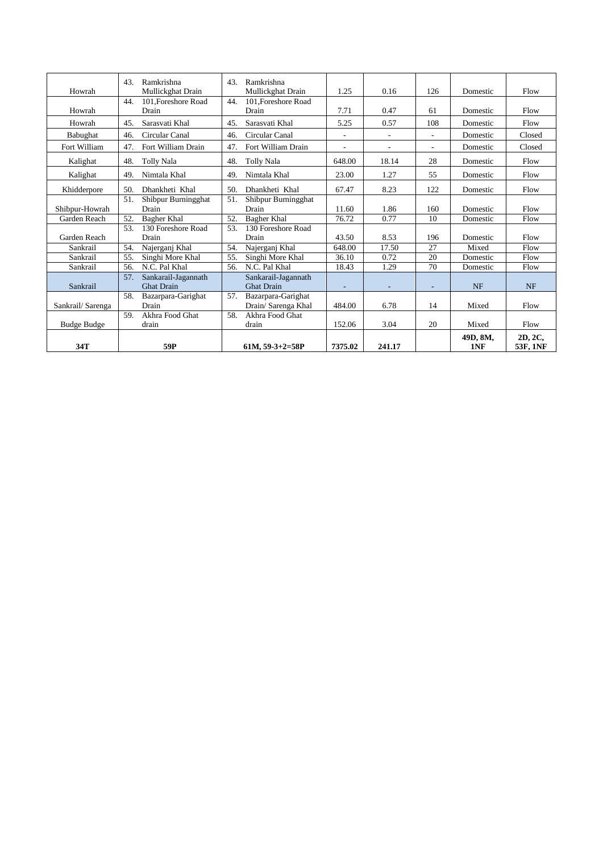| Howrah             | 43.<br>Ramkrishna<br>Mullickghat Drain          | Ramkrishna<br>43.<br>Mullickghat Drain   | 1.25    | 0.16   | 126                      | Domestic        | Flow                |
|--------------------|-------------------------------------------------|------------------------------------------|---------|--------|--------------------------|-----------------|---------------------|
|                    | 101. Foreshore Road<br>44.                      | 101. Foreshore Road<br>44.               |         |        |                          |                 |                     |
| Howrah             | Drain                                           | Drain                                    | 7.71    | 0.47   | 61                       | Domestic        | Flow                |
| Howrah             | Sarasvati Khal<br>45.                           | Sarasvati Khal<br>45.                    | 5.25    | 0.57   | 108                      | Domestic        | Flow                |
| Babughat           | Circular Canal<br>46.                           | Circular Canal<br>46.                    |         |        | $\overline{\phantom{a}}$ | Domestic        | Closed              |
| Fort William       | Fort William Drain<br>47.                       | Fort William Drain<br>47.                |         | ٠      | $\overline{\phantom{a}}$ | Domestic        | Closed              |
| Kalighat           | 48.<br>Tolly Nala                               | 48.<br>Tolly Nala                        | 648.00  | 18.14  | 28                       | Domestic        | Flow                |
| Kalighat           | 49.<br>Nimtala Khal                             | 49.<br>Nimtala Khal                      | 23.00   | 1.27   | 55                       | Domestic        | Flow                |
| Khidderpore        | 50.<br>Dhankheti Khal                           | 50.<br>Dhankheti Khal                    | 67.47   | 8.23   | 122                      | Domestic        | Flow                |
|                    | 51.<br>Shibpur Burningghat                      | Shibpur Burningghat<br>51.               |         |        |                          |                 |                     |
| Shibpur-Howrah     | Drain                                           | Drain                                    | 11.60   | 1.86   | 160                      | Domestic        | Flow                |
| Garden Reach       | 52.<br>Bagher Khal                              | 52.<br><b>Bagher Khal</b>                | 76.72   | 0.77   | 10                       | Domestic        | Flow                |
|                    | 130 Foreshore Road<br>53.                       | 130 Foreshore Road<br>53.                |         |        |                          |                 |                     |
| Garden Reach       | Drain                                           | Drain                                    | 43.50   | 8.53   | 196                      | Domestic        | Flow                |
| Sankrail           | Najerganj Khal<br>54.                           | Najerganj Khal<br>54.                    | 648.00  | 17.50  | 27                       | Mixed           | Flow                |
| Sankrail           | 55.<br>Singhi More Khal                         | 55.<br>Singhi More Khal                  | 36.10   | 0.72   | 20                       | Domestic        | Flow                |
| Sankrail           | N.C. Pal Khal<br>56.                            | N.C. Pal Khal<br>56.                     | 18.43   | 1.29   | 70                       | Domestic        | Flow                |
| Sankrail           | 57.<br>Sankarail-Jagannath<br><b>Ghat Drain</b> | Sankarail-Jagannath<br><b>Ghat Drain</b> | ٠       |        |                          | <b>NF</b>       | <b>NF</b>           |
|                    | Bazarpara-Garighat<br>58.                       | 57.<br>Bazarpara-Garighat                |         |        |                          |                 |                     |
| Sankrail/Sarenga   | Drain                                           | Drain/ Sarenga Khal                      | 484.00  | 6.78   | 14                       | Mixed           | Flow                |
|                    | Akhra Food Ghat<br>59.                          | Akhra Food Ghat<br>58.                   |         |        |                          |                 |                     |
| <b>Budge Budge</b> | drain                                           | drain                                    | 152.06  | 3.04   | 20                       | Mixed           | Flow                |
| 34T                | 59P                                             | $61M, 59-3+2=58P$                        | 7375.02 | 241.17 |                          | 49D, 8M,<br>1NF | 2D, 2C,<br>53F, 1NF |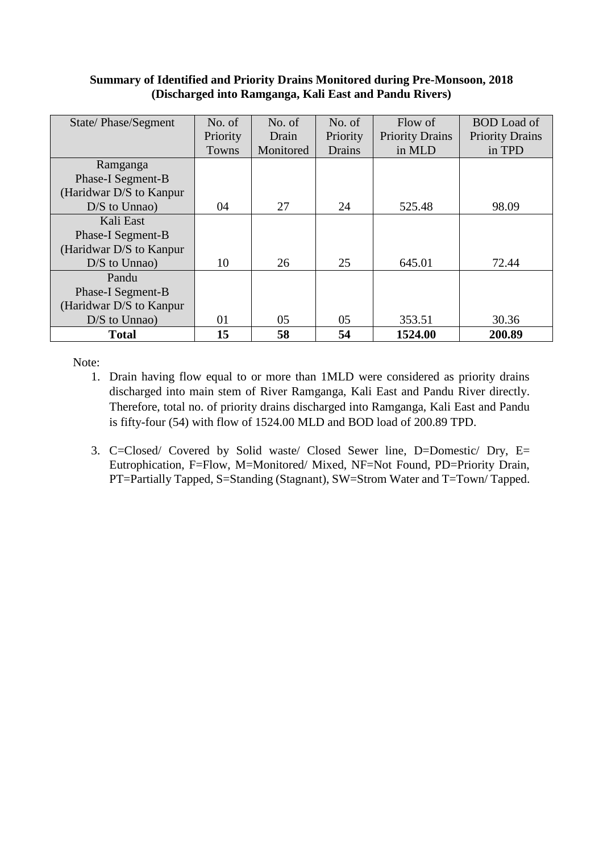#### **Summary of Identified and Priority Drains Monitored during Pre-Monsoon, 2018 (Discharged into Ramganga, Kali East and Pandu Rivers)**

| State/Phase/Segment      | No. of   | No. of    | No. of   | Flow of                | <b>BOD</b> Load of     |
|--------------------------|----------|-----------|----------|------------------------|------------------------|
|                          | Priority | Drain     | Priority | <b>Priority Drains</b> | <b>Priority Drains</b> |
|                          | Towns    | Monitored | Drains   | in MLD                 | in TPD                 |
| Ramganga                 |          |           |          |                        |                        |
| Phase-I Segment-B        |          |           |          |                        |                        |
| (Haridwar D/S to Kanpur) |          |           |          |                        |                        |
| $D/S$ to Unnao)          | 04       | 27        | 24       | 525.48                 | 98.09                  |
| Kali East                |          |           |          |                        |                        |
| Phase-I Segment-B        |          |           |          |                        |                        |
| (Haridwar D/S to Kanpur) |          |           |          |                        |                        |
| $D/S$ to Unnao)          | 10       | 26        | 25       | 645.01                 | 72.44                  |
| Pandu                    |          |           |          |                        |                        |
| Phase-I Segment-B        |          |           |          |                        |                        |
| (Haridwar D/S to Kanpur  |          |           |          |                        |                        |
| $D/S$ to Unnao)          | 01       | 05        | 05       | 353.51                 | 30.36                  |
| <b>Total</b>             | 15       | 58        | 54       | 1524.00                | 200.89                 |

Note:

- 1. Drain having flow equal to or more than 1MLD were considered as priority drains discharged into main stem of River Ramganga, Kali East and Pandu River directly. Therefore, total no. of priority drains discharged into Ramganga, Kali East and Pandu is fifty-four (54) with flow of 1524.00 MLD and BOD load of 200.89 TPD.
- 3. C=Closed/ Covered by Solid waste/ Closed Sewer line, D=Domestic/ Dry, E= Eutrophication, F=Flow, M=Monitored/ Mixed, NF=Not Found, PD=Priority Drain, PT=Partially Tapped, S=Standing (Stagnant), SW=Strom Water and T=Town/ Tapped.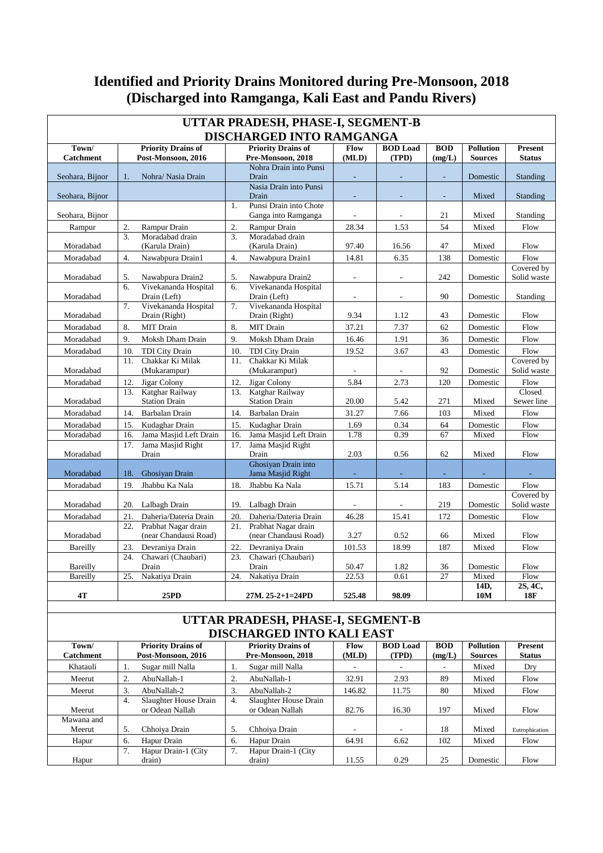# **Identified and Priority Drains Monitored during Pre-Monsoon, 2018 (Discharged into Ramganga, Kali East and Pandu Rivers)**

| UTTAR PRADESH, PHASE-I, SEGMENT-B<br><b>DISCHARGED INTO RAMGANGA</b> |                  |                                                 |                  |                                                |                          |                          |                      |                                    |                                 |  |  |
|----------------------------------------------------------------------|------------------|-------------------------------------------------|------------------|------------------------------------------------|--------------------------|--------------------------|----------------------|------------------------------------|---------------------------------|--|--|
|                                                                      |                  |                                                 |                  |                                                |                          |                          |                      |                                    |                                 |  |  |
| Town/<br><b>Catchment</b>                                            |                  | <b>Priority Drains of</b><br>Post-Monsoon, 2016 |                  | <b>Priority Drains of</b><br>Pre-Monsoon, 2018 | Flow<br>(MLD)            | <b>BOD</b> Load<br>(TPD) | <b>BOD</b><br>(mg/L) | <b>Pollution</b><br><b>Sources</b> | <b>Present</b><br><b>Status</b> |  |  |
|                                                                      |                  |                                                 |                  | Nohra Drain into Punsi                         |                          |                          |                      |                                    |                                 |  |  |
| Seohara, Bijnor                                                      | 1 <sub>1</sub>   | Nohra/ Nasia Drain                              |                  | Drain                                          |                          |                          |                      | Domestic                           | Standing                        |  |  |
|                                                                      |                  |                                                 |                  | Nasia Drain into Punsi                         |                          |                          |                      |                                    |                                 |  |  |
| Seohara, Bijnor                                                      |                  |                                                 | 1.               | Drain<br>Punsi Drain into Chote                | $\overline{\phantom{a}}$ | $\sim$                   | ÷,                   | Mixed                              | Standing                        |  |  |
| Seohara, Bijnor                                                      |                  |                                                 |                  | Ganga into Ramganga                            | $\blacksquare$           |                          | 21                   | Mixed                              | Standing                        |  |  |
| Rampur                                                               | 2.               | Rampur Drain                                    | 2.               | Rampur Drain                                   | 28.34                    | 1.53                     | 54                   | Mixed                              | Flow                            |  |  |
|                                                                      | 3.               | Moradabad drain                                 | 3.               | Moradabad drain                                |                          |                          |                      |                                    |                                 |  |  |
| Moradabad                                                            |                  | (Karula Drain)                                  |                  | (Karula Drain)                                 | 97.40                    | 16.56                    | 47                   | Mixed                              | Flow                            |  |  |
| Moradabad                                                            | $\overline{4}$ . | Nawabpura Drain1                                | $\overline{4}$ . | Nawabpura Drain1                               | 14.81                    | 6.35                     | 138                  | Domestic                           | Flow                            |  |  |
| Moradabad                                                            | 5.               | Nawabpura Drain2                                | 5.               | Nawabpura Drain2                               | $\overline{\phantom{a}}$ | $\overline{\phantom{a}}$ | 242                  | Domestic                           | Covered by<br>Solid waste       |  |  |
| Moradabad                                                            | 6.               | Vivekananda Hospital<br>Drain (Left)            | 6.               | Vivekananda Hospital<br>Drain (Left)           | $\overline{\phantom{a}}$ | $\overline{\phantom{a}}$ | 90                   | Domestic                           | Standing                        |  |  |
| Moradabad                                                            | 7.               | Vivekananda Hospital<br>Drain (Right)           | 7.               | Vivekananda Hospital<br>Drain (Right)          | 9.34                     | 1.12                     | 43                   | Domestic                           | Flow                            |  |  |
| Moradabad                                                            | 8.               | <b>MIT</b> Drain                                | 8.               | <b>MIT</b> Drain                               | 37.21                    | 7.37                     | 62                   | Domestic                           | Flow                            |  |  |
| Moradabad                                                            | 9.               | Moksh Dham Drain                                | 9.               | Moksh Dham Drain                               | 16.46                    | 1.91                     | 36                   | Domestic                           | Flow                            |  |  |
| Moradabad                                                            | 10.              | <b>TDI City Drain</b>                           | 10.              | <b>TDI City Drain</b>                          | 19.52                    | 3.67                     | 43                   | Domestic                           | Flow                            |  |  |
| Moradabad                                                            | 11.              | Chakkar Ki Milak<br>(Mukarampur)                | 11.              | Chakkar Ki Milak<br>(Mukarampur)               | $\blacksquare$           | $\sim$                   | 92                   | Domestic                           | Covered by<br>Solid waste       |  |  |
| Moradabad                                                            | 12.              | Jigar Colony                                    | 12.              | Jigar Colony                                   | 5.84                     | 2.73                     | 120                  | Domestic                           | Flow                            |  |  |
| Moradabad                                                            | 13.              | Katghar Railway<br><b>Station Drain</b>         | 13.              | Katghar Railway<br><b>Station Drain</b>        | 20.00                    | 5.42                     | 271                  | Mixed                              | Closed<br>Sewer line            |  |  |
| Moradabad                                                            | 14.              | Barbalan Drain                                  | 14.              | Barbalan Drain                                 | 31.27                    | 7.66                     | 103                  | Mixed                              | Flow                            |  |  |
| Moradabad                                                            | 15.              | Kudaghar Drain                                  | 15.              | Kudaghar Drain                                 | 1.69                     | 0.34                     | 64                   | Domestic                           | Flow                            |  |  |
| Moradabad                                                            | 16.              | Jama Masjid Left Drain                          | 16.              | Jama Masjid Left Drain                         | 1.78                     | 0.39                     | 67                   | Mixed                              | Flow                            |  |  |
| Moradabad                                                            | 17.              | Jama Masjid Right<br>Drain                      | 17.              | Jama Masjid Right<br>Drain                     | 2.03                     | 0.56                     | 62                   | Mixed                              | Flow                            |  |  |
|                                                                      |                  |                                                 |                  | Ghosiyan Drain into                            |                          |                          |                      |                                    |                                 |  |  |
| Moradabad                                                            | 18.              | Ghosiyan Drain                                  |                  | Jama Masjid Right                              |                          |                          |                      |                                    |                                 |  |  |
| Moradabad                                                            | 19.              | Jhabbu Ka Nala                                  | 18.              | Jhabbu Ka Nala                                 | 15.71                    | 5.14                     | 183                  | Domestic                           | Flow                            |  |  |
| Moradabad                                                            | 20.              | Lalbagh Drain                                   | 19.              | Lalbagh Drain                                  | $\blacksquare$           | $\overline{a}$           | 219                  | Domestic                           | Covered by<br>Solid waste       |  |  |
| Moradabad                                                            | 21.              | Daheria/Dateria Drain                           | 20.              | Daheria/Dateria Drain                          | 46.28                    | 15.41                    | 172                  | Domestic                           | Flow                            |  |  |
|                                                                      | 22.              | Prabhat Nagar drain                             | 21.              | Prabhat Nagar drain                            |                          |                          |                      |                                    |                                 |  |  |
| Moradabad                                                            |                  | (near Chandausi Road)                           |                  | (near Chandausi Road)                          | 3.27                     | 0.52                     | 66                   | Mixed                              | Flow                            |  |  |
| Bareilly                                                             | 23.              | Devraniva Drain                                 | 22.              | Devraniva Drain                                | 101.53                   | 18.99                    | 187                  | Mixed                              | Flow                            |  |  |
| Bareilly                                                             | 24.              | Chawari (Chaubari)<br>Drain                     | 23.              | Chawari (Chaubari)<br>Drain                    | 50.47                    | 1.82                     | 36                   | Domestic                           | Flow                            |  |  |
| Bareilly                                                             | 25.              | Nakatiya Drain                                  | 24.              | Nakatiya Drain                                 | 22.53                    | 0.61                     | 27                   | Mixed                              | Flow                            |  |  |
| 4T                                                                   |                  | 25PD                                            |                  | 27M. 25-2+1=24PD                               | 525.48                   | 98.09                    |                      | 14D,<br>10M                        | 2S, 4C,<br><b>18F</b>           |  |  |
|                                                                      |                  |                                                 |                  |                                                |                          |                          |                      |                                    |                                 |  |  |

#### **UTTAR PRADESH, PHASE-I, SEGMENT-B DISCHARGED INTO KALI EAST**

| Town/            |    | <b>Priority Drains of</b> |    | <b>Priority Drains of</b> | Flow   | <b>BOD</b> Load | <b>BOD</b> | <b>Pollution</b> | <b>Present</b> |
|------------------|----|---------------------------|----|---------------------------|--------|-----------------|------------|------------------|----------------|
| <b>Catchment</b> |    | Post-Monsoon, 2016        |    | Pre-Monsoon, 2018         | (MLD)  | (TPD)           | (mg/L)     | <b>Sources</b>   | <b>Status</b>  |
| Khatauli         | ., | Sugar mill Nalla          |    | Sugar mill Nalla          |        |                 | ٠          | Mixed            | Dry            |
| Meerut           | 2. | AbuNallah-1               |    | AbuNallah-1               | 32.91  | 2.93            | 89         | Mixed            | Flow           |
| Meerut           | 3. | AbuNallah-2               | 3. | AbuNallah-2               | 146.82 | 11.75           | 80         | Mixed            | Flow           |
|                  | 4. | Slaughter House Drain     | 4. | Slaughter House Drain     |        |                 |            |                  |                |
| Meerut           |    | or Odean Nallah           |    | or Odean Nallah           | 82.76  | 16.30           | 197        | Mixed            | Flow           |
| Mawana and       |    |                           |    |                           |        |                 |            |                  |                |
| Meerut           | 5. | Chhoiva Drain             | 5. | Chhoiya Drain             |        |                 | 18         | Mixed            | Eutrophication |
| Hapur            | 6. | Hapur Drain               | 6. | Hapur Drain               | 64.91  | 6.62            | 102        | Mixed            | Flow           |
|                  | 7. | Hapur Drain-1 (City       | 7. | Hapur Drain-1 (City       |        |                 |            |                  |                |
| Hapur            |    | drain)                    |    | drain)                    | 11.55  | 0.29            | 25         | Domestic         | Flow           |